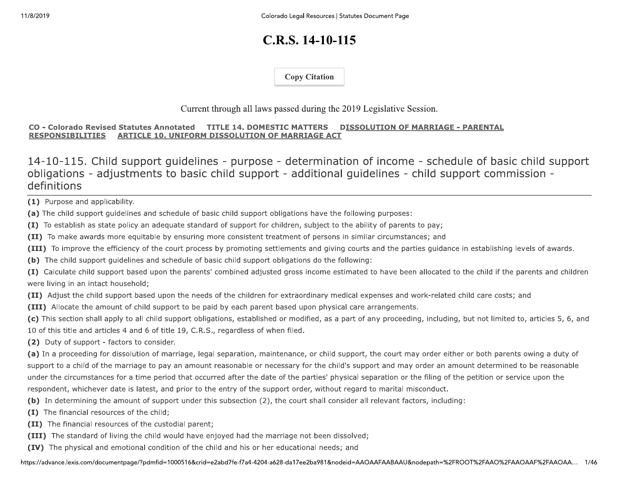# $C.R.S. 14-10-115$

**Copy Citation** 

## Current through all laws passed during the 2019 Legislative Session.

### CO - Colorado Revised Statutes Annotated TITLE 14. DOMESTIC MATTERS DISSOLUTION OF MARRIAGE - PARENTAL ARTICLE 10. UNIFORM DISSOLUTION OF MARRIAGE ACT **RESPONSIBILITIES**

14-10-115. Child support guidelines - purpose - determination of income - schedule of basic child support obligations - adjustments to basic child support - additional quidelines - child support commission definitions

(1) Purpose and applicability.

(a) The child support guidelines and schedule of basic child support obligations have the following purposes:

(I) To establish as state policy an adequate standard of support for children, subject to the ability of parents to pay;

(II) To make awards more equitable by ensuring more consistent treatment of persons in similar circumstances; and

(III) To improve the efficiency of the court process by promoting settlements and giving courts and the parties guidance in establishing levels of awards.

(b) The child support guidelines and schedule of basic child support obligations do the following:

(I) Calculate child support based upon the parents' combined adjusted gross income estimated to have been allocated to the child if the parents and children were living in an intact household;

(II) Adjust the child support based upon the needs of the children for extraordinary medical expenses and work-related child care costs; and

(III) Allocate the amount of child support to be paid by each parent based upon physical care arrangements.

(c) This section shall apply to all child support obligations, established or modified, as a part of any proceeding, including, but not limited to, articles 5, 6, and 10 of this title and articles 4 and 6 of title 19, C.R.S., regardless of when filed.

(2) Duty of support - factors to consider.

(a) In a proceeding for dissolution of marriage, legal separation, maintenance, or child support, the court may order either or both parents owing a duty of support to a child of the marriage to pay an amount reasonable or necessary for the child's support and may order an amount determined to be reasonable under the circumstances for a time period that occurred after the date of the parties' physical separation or the filing of the petition or service upon the respondent, whichever date is latest, and prior to the entry of the support order, without regard to marital misconduct.

- (b) In determining the amount of support under this subsection (2), the court shall consider all relevant factors, including:
- (I) The financial resources of the child;
- (II) The financial resources of the custodial parent;
- (III) The standard of living the child would have enjoyed had the marriage not been dissolved;
- (IV) The physical and emotional condition of the child and his or her educational needs; and

https://advance.lexis.com/documentpage/?pdmfid=1000516&crid=e2abd7fe-f7a4-4204-a628-da17ee2ba981&nodeid=AAOAAFAABAAU&nodepath=%2FROOT%2FAAO%2FAAOAAF%2FAAOAA... 1/46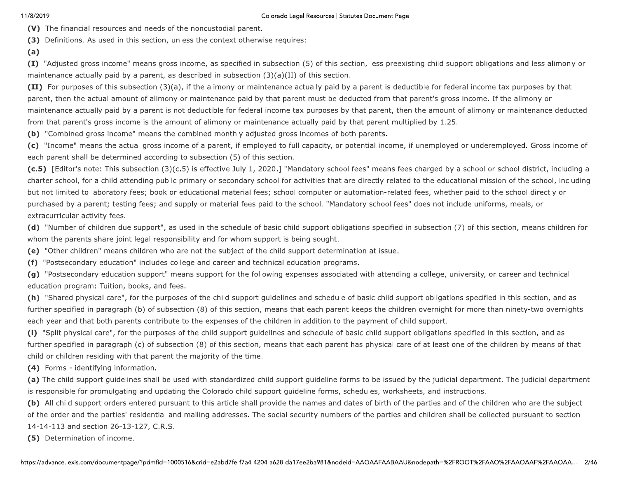### Colorado Legal Resources | Statutes Document Page

(V) The financial resources and needs of the noncustodial parent.

(3) Definitions. As used in this section, unless the context otherwise requires:

(I) "Adjusted gross income" means gross income, as specified in subsection (5) of this section, less preexisting child support obligations and less alimony or maintenance actually paid by a parent, as described in subsection  $(3)(a)(II)$  of this section.

(II) For purposes of this subsection (3)(a), if the alimony or maintenance actually paid by a parent is deductible for federal income tax purposes by that parent, then the actual amount of alimony or maintenance paid by that parent must be deducted from that parent's gross income. If the alimony or maintenance actually paid by a parent is not deductible for federal income tax purposes by that parent, then the amount of alimony or maintenance deducted from that parent's gross income is the amount of alimony or maintenance actually paid by that parent multiplied by 1.25.

(b) "Combined gross income" means the combined monthly adjusted gross incomes of both parents.

(c) "Income" means the actual gross income of a parent, if employed to full capacity, or potential income, if unemployed or underemployed. Gross income of each parent shall be determined according to subsection (5) of this section.

(c.5) [Editor's note: This subsection (3)(c.5) is effective July 1, 2020.] "Mandatory school fees" means fees charged by a school or school district, including a charter school, for a child attending public primary or secondary school for activities that are directly related to the educational mission of the school, including but not limited to laboratory fees; book or educational material fees; school computer or automation-related fees, whether paid to the school directly or purchased by a parent; testing fees; and supply or material fees paid to the school. "Mandatory school fees" does not include uniforms, meals, or extracurricular activity fees.

(d) "Number of children due support", as used in the schedule of basic child support obligations specified in subsection (7) of this section, means children for whom the parents share joint legal responsibility and for whom support is being sought.

(e) "Other children" means children who are not the subject of the child support determination at issue.

(f) "Postsecondary education" includes college and career and technical education programs.

(g) "Postsecondary education support" means support for the following expenses associated with attending a college, university, or career and technical education program: Tuition, books, and fees.

(h) "Shared physical care", for the purposes of the child support guidelines and schedule of basic child support obligations specified in this section, and as further specified in paragraph (b) of subsection (8) of this section, means that each parent keeps the children overnight for more than ninety-two overnights each year and that both parents contribute to the expenses of the children in addition to the payment of child support.

(i) "Split physical care", for the purposes of the child support guidelines and schedule of basic child support obligations specified in this section, and as further specified in paragraph (c) of subsection (8) of this section, means that each parent has physical care of at least one of the children by means of that child or children residing with that parent the majority of the time.

(4) Forms - identifying information.

(a) The child support guidelines shall be used with standardized child support guideline forms to be issued by the judicial department. The judicial department is responsible for promulgating and updating the Colorado child support guideline forms, schedules, worksheets, and instructions.

(b) All child support orders entered pursuant to this article shall provide the names and dates of birth of the parties and of the children who are the subject of the order and the parties' residential and mailing addresses. The social security numbers of the parties and children shall be collected pursuant to section 14-14-113 and section 26-13-127, C.R.S.

(5) Determination of income.

 $(a)$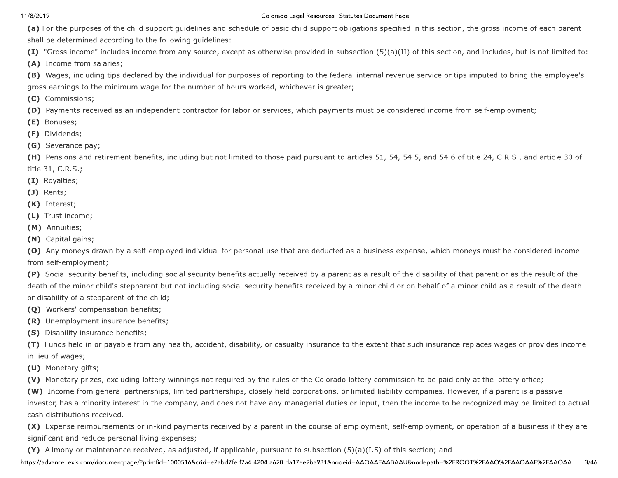### Colorado Legal Resources | Statutes Document Page

(a) For the purposes of the child support guidelines and schedule of basic child support obligations specified in this section, the gross income of each parent shall be determined according to the following guidelines:

(I) "Gross income" includes income from any source, except as otherwise provided in subsection (5)(a)(II) of this section, and includes, but is not limited to:

(A) Income from salaries;

(B) Wages, including tips declared by the individual for purposes of reporting to the federal internal revenue service or tips imputed to bring the employee's gross earnings to the minimum wage for the number of hours worked, whichever is greater;

(C) Commissions;

(D) Payments received as an independent contractor for labor or services, which payments must be considered income from self-employment;

(E) Bonuses;

(F) Dividends;

(G) Severance pay;

(H) Pensions and retirement benefits, including but not limited to those paid pursuant to articles 51, 54, 54.5, and 54.6 of title 24, C.R.S., and article 30 of title 31, C.R.S.;

(I) Royalties;

 $(J)$  Rents;

(K) Interest;

(L) Trust income;

(M) Annuities;

(N) Capital gains;

(O) Any moneys drawn by a self-employed individual for personal use that are deducted as a business expense, which moneys must be considered income from self-employment;

(P) Social security benefits, including social security benefits actually received by a parent as a result of the disability of that parent or as the result of the death of the minor child's stepparent but not including social security benefits received by a minor child or on behalf of a minor child as a result of the death or disability of a stepparent of the child;

(Q) Workers' compensation benefits;

(R) Unemployment insurance benefits;

(S) Disability insurance benefits;

(T) Funds held in or payable from any health, accident, disability, or casualty insurance to the extent that such insurance replaces wages or provides income in lieu of wages;

(U) Monetary gifts;

(V) Monetary prizes, excluding lottery winnings not required by the rules of the Colorado lottery commission to be paid only at the lottery office;

(W) Income from general partnerships, limited partnerships, closely held corporations, or limited liability companies. However, if a parent is a passive investor, has a minority interest in the company, and does not have any managerial duties or input, then the income to be recognized may be limited to actual cash distributions received.

(X) Expense reimbursements or in-kind payments received by a parent in the course of employment, self-employment, or operation of a business if they are significant and reduce personal living expenses;

(Y) Alimony or maintenance received, as adjusted, if applicable, pursuant to subsection  $(5)(a)(1.5)$  of this section; and

https://advance.lexis.com/documentpage/?pdmfid=1000516&crid=e2abd7fe-f7a4-4204-a628-da17ee2ba981&nodeid=AAOAAFAABAAU&nodepath=%2FROOT%2FAAO%2FAAOAAF%2FAAOAA... 3/46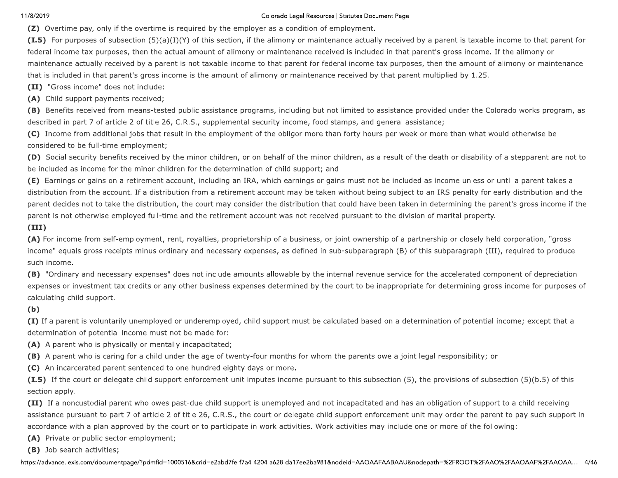11/8/2019<br>
( $\mathbf{Z}$ ) Overtime pay<br>
( $\mathbf{I}.\mathbf{5}$ ) For purpose<br>
federal income tax<br>
maintenance actuar<br>
that is included in Colorado Legal Resources | (Z) Overtime pay, only if the overtime is required by the employer as a condition of em (I.5) For purposes of subsection  $(5)(a)(I)(Y)$  of this section, if the alimony or maintena federal income ta Colorado Legal Resources | Statutes<br>the employer as a condition of employm<br>section, if the alimony or maintenance ac<br>of alimony or maintenance received is ine<br>ble income to that parent for federal inco<br>mount of alimony or Colorado Legal Resources | Statutes Document Page<br>nployer as a condition of employment.<br>i, if the alimony or maintenance actually receive<br>iony or maintenance received is included in tha<br>ome to that parent for federal incom Degal Resources | Statutes Document Page<br>
condition of employment.<br>
Iny or maintenance actually received by a parent is<br>
senance received is included in that parent's gross<br>
parent for federal income tax purposes, then the Statutes Document Page<br>ployment.<br>nce actually received by a parent is<br>d is included in that parent's gross in<br>al income tax purposes, then the amendency that parent multiplied by<br>received by that parent multiplied by The second state and only the octrinal reaction into critical and worstellowering method. The second state is a second to the second state of the second state is a second state of the second state is a second state of the

(11) IT a noncustodia<br>assistance pursuant to<br>accordance with a pla<br>(A) Private or public<br>(B) Job search activi<br>https://advance.lexis.com/doc (11) Ir a noncustodial p<br>assistance pursuant to p<br>accordance with a plan a<br>(A) Private or public se<br>(B) Job search activities<br>https://advance.lexis.com/docum (11) It a noncustodial parent who owes past-<br>assistance pursuant to part 7 of article 2 of tit<br>accordance with a plan approved by the court<br>(A) Private or public sector employment;<br>(B) Job search activities;<br>https://advanc oncustodial parent who owes past-due child support is uner<br>bursuant to part 7 of article 2 of title 26, C.R.S., the court or<br>with a plan approved by the court or to participate in work<br>e or public sector employment;<br>arch a ves past-que child support is unemployed<br>le 2 of title 26, C.R.S., the court or delega<br>the court or to participate in work activitie<br>nent;<br>id=1000516&crid=e2abd7fe-f7a4-4204-a628-da17ee: -aue child support is unemployed and no<br>itle 26, C.R.S., the court or delegate child<br>t or to participate in work activities. Work<br>16&crid=e2abd7fe-f7a4-4204-a628-da17ee2ba981& nina support is unemployed and not in<br>C.R.S., the court or delegate child su<br>participate in work activities. Work ao<br>e2abd7fe-f7a4-4204-a628-da17ee2ba981&nod support is unemployed and not inca<br>R.S., the court or delegate child supp<br>ticipate in work activities. Work activ<br>bd7fe-f7a4-4204-a628-da17ee2ba981&nodeid pport is unemployed and not incapacitate<br>S., the court or delegate child support enf<br>cipate in work activities. Work activities m<br>The-17a4-4204-a628-da17ee2ba981&nodeid=AAOA s unemployed and not incapacitated<br>court or delegate child support enfor<br>n work activities. Work activities may<br>4204-a628-da17ee2ba981&nodeid=AAOAAF, unemployed and not incapacitated and has an obligation or support<br>urt or delegate child support enforcement unit may order the par-<br>work activities. Work activities may include one or more of the fol<br>04-a628-da17ee2ba981&n ted and has an obligation or support to a child receiving<br>iforcement unit may order the parent to pay such support in<br>may include one or more of the following:<br>AAFAABAAU&nodepath=%2FROOT%2FAAO%2FAAOAAF%2FAAOAA... 4/46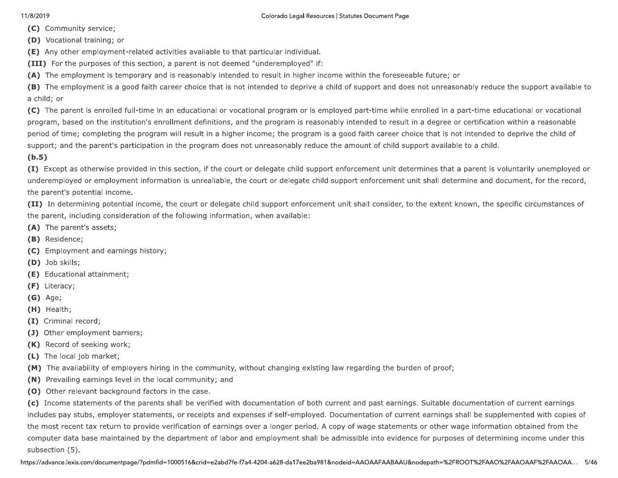(C) Community service;

(D) Vocational training; or

- (E) Any other employment-related activities available to that particular individual.
- (III) For the purposes of this section, a parent is not deemed "underemployed" if:
- (A) The employment is temporary and is reasonably intended to result in higher income within the foreseeable future; or

(B) The employment is a good faith career choice that is not intended to deprive a child of support and does not unreasonably reduce the support available to a child; or

(C) The parent is enrolled full-time in an educational or vocational program or is employed part-time while enrolled in a part-time educational or vocational program, based on the institution's enrollment definitions, and the program is reasonably intended to result in a degree or certification within a reasonable period of time; completing the program will result in a higher income; the program is a good faith career choice that is not intended to deprive the child of support; and the parent's participation in the program does not unreasonably reduce the amount of child support available to a child.

 $(b.5)$ 

(I) Except as otherwise provided in this section, if the court or delegate child support enforcement unit determines that a parent is voluntarily unemployed or underemployed or employment information is unrealiable, the court or delegate child support enforcement unit shall determine and document, for the record, the parent's potential income.

(II) In determining potential income, the court or delegate child support enforcement unit shall consider, to the extent known, the specific circumstances of the parent, including consideration of the following information, when available:

- (A) The parent's assets;
- (B) Residence;
- (C) Employment and earnings history;
- (D) Job skills;
- (E) Educational attainment;
- (F) Literacy;
- $(G)$  Age;
- (H) Health;
- (I) Criminal record;
- (J) Other employment barriers;
- (K) Record of seeking work;
- (L) The local job market;
- (M) The availability of employers hiring in the community, without changing existing law regarding the burden of proof;
- (N) Prevailing earnings level in the local community; and
- (0) Other relevant background factors in the case.

(c) Income statements of the parents shall be verified with documentation of both current and past earnings. Suitable documentation of current earnings includes pay stubs, employer statements, or receipts and expenses if self-employed. Documentation of current earnings shall be supplemented with copies of the most recent tax return to provide verification of earnings over a longer period. A copy of wage statements or other wage information obtained from the computer data base maintained by the department of labor and employment shall be admissible into evidence for purposes of determining income under this subsection (5).

https://advance.lexis.com/documentpage/?pdmfid=1000516&crid=e2abd7fe-f7a4-4204-a628-da17ee2ba981&nodeid=AAOAAFAABAAU&nodepath=%2FROOT%2FAAO%2FAAOAAF%2FAAOAA... 5/46

## Colorado Legal Resources | Statutes Document Page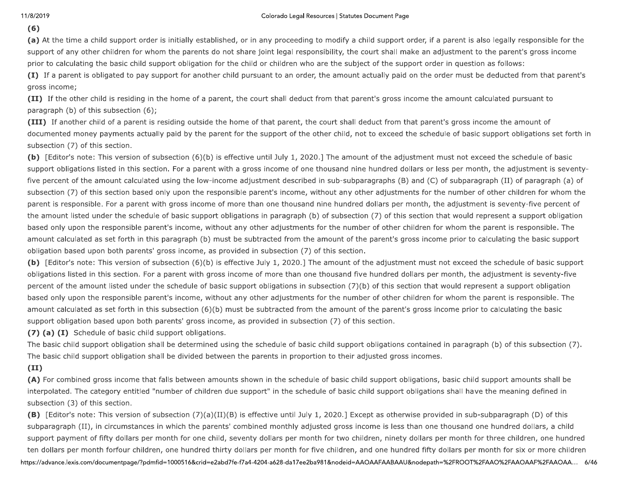## $(6)$

(a) At the time a child support order is initially established, or in any proceeding to modify a child support order, if a parent is also legally responsible for the support of any other children for whom the parents do not share joint legal responsibility, the court shall make an adjustment to the parent's gross income prior to calculating the basic child support obligation for the child or children who are the subject of the support order in question as follows:

(I) If a parent is obligated to pay support for another child pursuant to an order, the amount actually paid on the order must be deducted from that parent's gross income;

(II) If the other child is residing in the home of a parent, the court shall deduct from that parent's gross income the amount calculated pursuant to paragraph (b) of this subsection (6);

(III) If another child of a parent is residing outside the home of that parent, the court shall deduct from that parent's gross income the amount of documented money payments actually paid by the parent for the support of the other child, not to exceed the schedule of basic support obligations set forth in subsection (7) of this section.

(b) [Editor's note: This version of subsection (6)(b) is effective until July 1, 2020.] The amount of the adjustment must not exceed the schedule of basic support obligations listed in this section. For a parent with a gross income of one thousand nine hundred dollars or less per month, the adjustment is seventyfive percent of the amount calculated using the low-income adjustment described in sub-subparagraphs (B) and (C) of subparagraph (II) of paragraph (a) of subsection (7) of this section based only upon the responsible parent's income, without any other adjustments for the number of other children for whom the parent is responsible. For a parent with gross income of more than one thousand nine hundred dollars per month, the adjustment is seventy-five percent of the amount listed under the schedule of basic support obligations in paragraph (b) of subsection (7) of this section that would represent a support obligation based only upon the responsible parent's income, without any other adjustments for the number of other children for whom the parent is responsible. The amount calculated as set forth in this paragraph (b) must be subtracted from the amount of the parent's gross income prior to calculating the basic support obligation based upon both parents' gross income, as provided in subsection (7) of this section.

(b) [Editor's note: This version of subsection (6)(b) is effective July 1, 2020.] The amount of the adjustment must not exceed the schedule of basic support obligations listed in this section. For a parent with gross income of more than one thousand five hundred dollars per month, the adjustment is seventy-five percent of the amount listed under the schedule of basic support obligations in subsection (7)(b) of this section that would represent a support obligation based only upon the responsible parent's income, without any other adjustments for the number of other children for whom the parent is responsible. The amount calculated as set forth in this subsection (6)(b) must be subtracted from the amount of the parent's gross income prior to calculating the basic support obligation based upon both parents' gross income, as provided in subsection (7) of this section.

(7) (a) (I) Schedule of basic child support obligations.

The basic child support obligation shall be determined using the schedule of basic child support obligations contained in paragraph (b) of this subsection (7). The basic child support obligation shall be divided between the parents in proportion to their adjusted gross incomes.

## $(II)$

(A) For combined gross income that falls between amounts shown in the schedule of basic child support obligations, basic child support amounts shall be interpolated. The category entitled "number of children due support" in the schedule of basic child support obligations shall have the meaning defined in subsection (3) of this section.

(B) [Editor's note: This version of subsection (7)(a)(II)(B) is effective until July 1, 2020.] Except as otherwise provided in sub-subparagraph (D) of this subparagraph (II), in circumstances in which the parents' combined monthly adjusted gross income is less than one thousand one hundred dollars, a child support payment of fifty dollars per month for one child, seventy dollars per month for two children, ninety dollars per month for three children, one hundred ten dollars per month forfour children, one hundred thirty dollars per month for five children, and one hundred fifty dollars per month for six or more children https://advance.lexis.com/documentpage/?pdmfid=1000516&crid=e2abd7fe-f7a4-4204-a628-da17ee2ba981&nodeid=AAOAAFAABAAU&nodepath=%2FROOT%2FAAO%2FAAOAAF%2FAAOAA... 6/46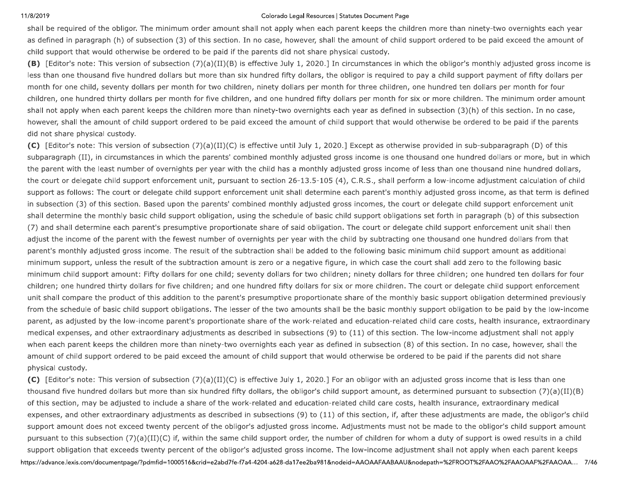11/8/2019<br>
shall be required o<br>
as defined in parant<br>
child support that<br> **(B)** [Editor's note<br>
less than one thou Colorado Legal Resources |<br>
shall be required of the obligor. The minimum order amount shall not apply when each p<br>
as defined in paragraph (h) of subsection (3) of this section. In no case, however, shall t<br>
child suppor Colorado Legal Resources | Statutes<br>mount shall not apply when each parent<br>ection. In no case, however, shall the am<br>aid if the parents did not share physical (II)(B) is effective July 1, 2020.] In circun<br>than six hundred Colorado Legal Resources | Statutes Document Page<br>
shall not apply when each parent keeps the ch<br>
In no case, however, shall the amount of child<br>
he parents did not share physical custody.<br>
is effective July 1, 2020.] In c o Legal Resources | Statutes Document Page<br>Jly when each parent keeps the children more tha<br>however, shall the amount of child support ordere<br>id not share physical custody.<br>Jly 1, 2020.] In circumstances in which the oblig Statutes Document Page<br>
varent keeps the children more than<br>
the amount of child support ordered<br>
ysical custody.<br>
circumstances in which the obligor's<br>
obligor is required to pay a child sup

The set of transmit of the addition that is a set of the set of the set of the set of the set of the set of the set of the set of the set of the set of the set of the set of the set of the set of the set of the set of the

or this section, may b<br>expenses, and other  $\epsilon$ <br>support amount does<br>pursuant to this subse<br>support obligation tha<br>https://advance.lexis.com/doe or this section, may be a<br>expenses, and other ext<br>support amount does no<br>pursuant to this subsecti<br>support obligation that e<br>https://advance.lexis.com/docum or this section, may be adjusted to include a s<br>expenses, and other extraordinary adjustmen<br>support amount does not exceed twenty perce<br>pursuant to this subsection (7)(a)(II)(C) if, wi<br>support obligation that exceeds twent on, may be adjusted to include a snare of the work-related and other extraordinary adjustments as described in subsect<br>ount does not exceed twenty percent of the obligor's adjusted<br>this subsection (7)(a)(II)(C) if, within clude a snare or the work-related and edu<br>djustments as described in subsections (9)<br>nty percent of the obligor's adjusted gross<br>(C) if, within the same child support order<br>ty percent of the obligor's adjusted gross i<br>id=1 share or the work-related and education-<br>hts as described in subsections (9) to (11<br>cent of the obligor's adjusted gross incom<br>within the same child support order, the nu<br>ent of the obligor's adjusted gross income<br>16&crid= or the work-related and education-related in subsections (9) to (11) of<br>the obligor's adjusted gross income.<br>ne same child support order, the num<br>ne obligor's adjusted gross income. T<br>e2abd7fe-f7a4-4204-a628-da17ee2ba981&n ne work-related and education-relate<br>cribed in subsections (9) to (11) of the<br>e obligor's adjusted gross income. Adjusted same child support order, the number<br>obligor's adjusted gross income. The<br>bd7fe-f7a4-4204-a628-da17e work-related and education-related child<br>bed in subsections (9) to (11) of this sect<br>bligor's adjusted gross income. Adjustme<br>me child support order, the number of chil<br>igor's adjusted gross income. The low-inc<br>7fe-f7a4-42 related and education-related child<br>subsections (9) to (11) of this sectio<br>adjusted gross income. Adjustment<br>d support order, the number of child<br>adjusted gross income. The low-incom<br>4204-a628-da17ee2ba981&nodeid=AAOAAF, ated and education-related child care costs, health insurance, ext<br>
bsections (9) to (11) of this section, if, after these adjustments a<br>
djusted gross income. Adjustments must not be made to the oblig<br>
support order, the d care costs, nealth insurance, extraordinary medical<br>ction, if, after these adjustments are made, the obligor's child<br>ents must not be made to the obligor's child support amount<br>nildren for whom a duty of support is owed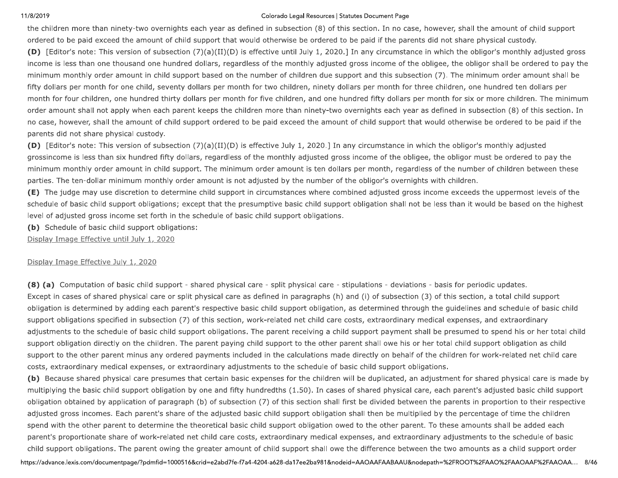### Colorado Legal Resources | Statutes Document Page

the children more than ninety-two overnights each year as defined in subsection (8) of this section. In no case, however, shall the amount of child support ordered to be paid exceed the amount of child support that would otherwise be ordered to be paid if the parents did not share physical custody.

(D) [Editor's note: This version of subsection (7)(a)(II)(D) is effective until July 1, 2020.] In any circumstance in which the obligor's monthly adjusted gross income is less than one thousand one hundred dollars, regardless of the monthly adjusted gross income of the obligee, the obligor shall be ordered to pay the minimum monthly order amount in child support based on the number of children due support and this subsection (7). The minimum order amount shall be fifty dollars per month for one child, seventy dollars per month for two children, ninety dollars per month for three children, one hundred ten dollars per month for four children, one hundred thirty dollars per month for five children, and one hundred fifty dollars per month for six or more children. The minimum order amount shall not apply when each parent keeps the children more than ninety-two overnights each year as defined in subsection (8) of this section. In no case, however, shall the amount of child support ordered to be paid exceed the amount of child support that would otherwise be ordered to be paid if the parents did not share physical custody.

(D) [Editor's note: This version of subsection (7)(a)(II)(D) is effective July 1, 2020.] In any circumstance in which the obligor's monthly adjusted grossincome is less than six hundred fifty dollars, regardless of the monthly adjusted gross income of the obligee, the obligor must be ordered to pay the minimum monthly order amount in child support. The minimum order amount is ten dollars per month, regardless of the number of children between these parties. The ten-dollar minimum monthly order amount is not adjusted by the number of the obligor's overnights with children.

(E) The judge may use discretion to determine child support in circumstances where combined adjusted gross income exceeds the uppermost levels of the schedule of basic child support obligations; except that the presumptive basic child support obligation shall not be less than it would be based on the highest level of adjusted gross income set forth in the schedule of basic child support obligations.

(b) Schedule of basic child support obligations:

Display Image Effective until July 1, 2020

### Display Image Effective July 1, 2020

(8) (a) Computation of basic child support - shared physical care - split physical care - stipulations - deviations - basis for periodic updates. Except in cases of shared physical care or split physical care as defined in paragraphs (h) and (i) of subsection (3) of this section, a total child support obligation is determined by adding each parent's respective basic child support obligation, as determined through the guidelines and schedule of basic child support obligations specified in subsection (7) of this section, work-related net child care costs, extraordinary medical expenses, and extraordinary adjustments to the schedule of basic child support obligations. The parent receiving a child support payment shall be presumed to spend his or her total child support obligation directly on the children. The parent paying child support to the other parent shall owe his or her total child support obligation as child support to the other parent minus any ordered payments included in the calculations made directly on behalf of the children for work-related net child care costs, extraordinary medical expenses, or extraordinary adjustments to the schedule of basic child support obligations.

(b) Because shared physical care presumes that certain basic expenses for the children will be duplicated, an adjustment for shared physical care is made by multiplying the basic child support obligation by one and fifty hundredths (1.50). In cases of shared physical care, each parent's adjusted basic child support obligation obtained by application of paragraph (b) of subsection (7) of this section shall first be divided between the parents in proportion to their respective adjusted gross incomes. Each parent's share of the adjusted basic child support obligation shall then be multiplied by the percentage of time the children spend with the other parent to determine the theoretical basic child support obligation owed to the other parent. To these amounts shall be added each parent's proportionate share of work-related net child care costs, extraordinary medical expenses, and extraordinary adjustments to the schedule of basic child support obligations. The parent owing the greater amount of child support shall owe the difference between the two amounts as a child support order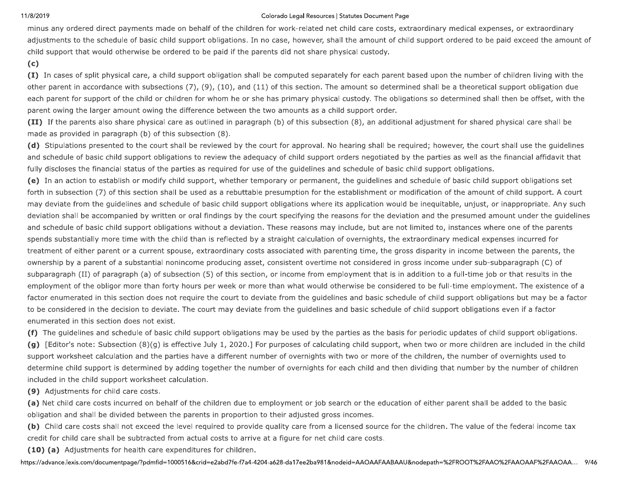### Colorado Legal Resources | Statutes Document Page

minus any ordered direct payments made on behalf of the children for work-related net child care costs, extraordinary medical expenses, or extraordinary adjustments to the schedule of basic child support obligations. In no case, however, shall the amount of child support ordered to be paid exceed the amount of child support that would otherwise be ordered to be paid if the parents did not share physical custody.

### $(c)$

(I) In cases of split physical care, a child support obligation shall be computed separately for each parent based upon the number of children living with the other parent in accordance with subsections (7), (9), (10), and (11) of this section. The amount so determined shall be a theoretical support obligation due each parent for support of the child or children for whom he or she has primary physical custody. The obligations so determined shall then be offset, with the parent owing the larger amount owing the difference between the two amounts as a child support order.

(II) If the parents also share physical care as outlined in paragraph (b) of this subsection (8), an additional adjustment for shared physical care shall be made as provided in paragraph (b) of this subsection (8).

(d) Stipulations presented to the court shall be reviewed by the court for approval. No hearing shall be required; however, the court shall use the guidelines and schedule of basic child support obligations to review the adequacy of child support orders negotiated by the parties as well as the financial affidavit that fully discloses the financial status of the parties as required for use of the guidelines and schedule of basic child support obligations.

(e) In an action to establish or modify child support, whether temporary or permanent, the guidelines and schedule of basic child support obligations set forth in subsection (7) of this section shall be used as a rebuttable presumption for the establishment or modification of the amount of child support. A court may deviate from the guidelines and schedule of basic child support obligations where its application would be inequitable, unjust, or inappropriate. Any such deviation shall be accompanied by written or oral findings by the court specifying the reasons for the deviation and the presumed amount under the guidelines and schedule of basic child support obligations without a deviation. These reasons may include, but are not limited to, instances where one of the parents spends substantially more time with the child than is reflected by a straight calculation of overnights, the extraordinary medical expenses incurred for treatment of either parent or a current spouse, extraordinary costs associated with parenting time, the gross disparity in income between the parents, the ownership by a parent of a substantial nonincome producing asset, consistent overtime not considered in gross income under sub-subparagraph (C) of subparagraph (II) of paragraph (a) of subsection (5) of this section, or income from employment that is in addition to a full-time job or that results in the employment of the obligor more than forty hours per week or more than what would otherwise be considered to be full-time employment. The existence of a factor enumerated in this section does not require the court to deviate from the quidelines and basic schedule of child support obligations but may be a factor to be considered in the decision to deviate. The court may deviate from the guidelines and basic schedule of child support obligations even if a factor enumerated in this section does not exist.

(f) The guidelines and schedule of basic child support obligations may be used by the parties as the basis for periodic updates of child support obligations.

(g) [Editor's note: Subsection (8)(g) is effective July 1, 2020.] For purposes of calculating child support, when two or more children are included in the child support worksheet calculation and the parties have a different number of overnights with two or more of the children, the number of overnights used to determine child support is determined by adding together the number of overnights for each child and then dividing that number by the number of children included in the child support worksheet calculation.

(9) Adjustments for child care costs.

(a) Net child care costs incurred on behalf of the children due to employment or job search or the education of either parent shall be added to the basic obligation and shall be divided between the parents in proportion to their adjusted gross incomes.

(b) Child care costs shall not exceed the level required to provide quality care from a licensed source for the children. The value of the federal income tax credit for child care shall be subtracted from actual costs to arrive at a figure for net child care costs.

(10) (a) Adjustments for health care expenditures for children.

https://advance.lexis.com/documentpage/?pdmfid=1000516&crid=e2abd7fe-f7a4-4204-a628-da17ee2ba981&nodeid=AAOAAFAABAAU&nodepath=%2FROOT%2FAAO%2FAAOAAF%2FAAOAA... 9/46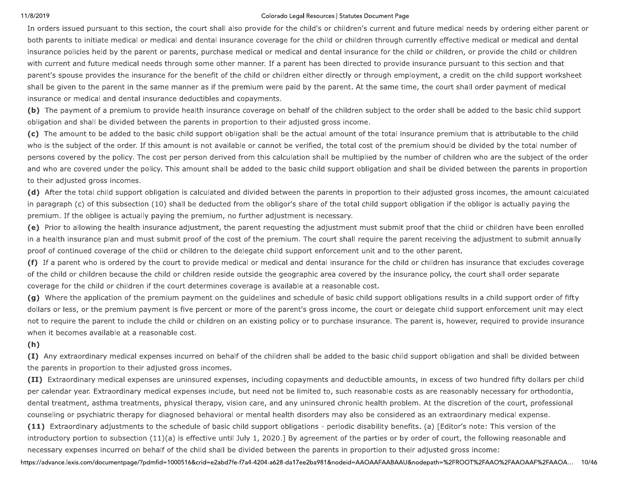11/8/2019<br>In orders issued p<br>both parents to ini<br>insurance policies<br>with current and fi<br>parent's spouse pr Colorado Legal Resources |<br>
In orders issued pursuant to this section, the court shall also provide for the child's or ch<br>
both parents to initiate medical or medical and dental insurance coverage for the child o<br>
insuranc Colorado Legal Resources | Statutes<br>
all also provide for the child's or children<br>
insurance coverage for the child or child<br>
hase medical or medical and dental insur<br>
other manner. If a parent has been direct<br>
of the chil Colorado Legal Resources | Statutes Document Page<br>
p provide for the child's or children's current and<br>
nnce coverage for the child or children through<br>
nedical or medical and dental insurance for the<br>
nanner. If a parent b Legal Resources | Statutes Document Page<br>the child's or children's current and future medica<br>e for the child or children through currently effecti<br>dical and dental insurance for the child or children<br>parent has been dire Statutes Document Page<br>
illdren's current and future medical r<br>
r children through currently effective<br>
I insurance for the child or children,<br>
i directed to provide insurance pursu<br>
ctly or through employment, a credit The proposition of the state of the state of the state of the state of the state of the state of the state of the state of the state of the state of the state of the state of the state of the state of the state of the sta

dental treatment, astronounseling or psychia<br>
(11) Extraordinary a<br>
introductory portion the<br>
necessary expenses in<br>
https://advance.lexis.com/doc dental treatment, asthm<br>counseling or psychiatric<br>**(11)** Extraordinary adju<br>introductory portion to s<br>necessary expenses incu<br>https://advance.lexis.com/docum dental treatment, asthma treatments, physica<br>counseling or psychiatric therapy for diagnose<br>(11) Extraordinary adjustments to the sched<br>introductory portion to subsection (11)(a) is e<br>necessary expenses incurred on behalf ment, asthma treatments, physical therapy, vision care, and<br>or psychiatric therapy for diagnosed behavioral or mental he<br>ordinary adjustments to the schedule of basic child support<br>y portion to subsection (11)(a) is effect i, pnysical therapy, vision care, and any ure diagnosed behavioral or mental health dis<br>the schedule of basic child support obligation<br>1)(a) is effective until July 1, 2020.] By ag<br>alf of the child shall be divided betwee al therapy, vision care, and any uninsured<br>ed behavioral or mental health disorders<br>dule of basic child support obligations - p<br>effective until July 1, 2020.] By agreemer<br>echild shall be divided between the paren<br>16&crid=e apy, vision care, and any uninsured c<br>avioral or mental health disorders ma<br>basic child support obligations - perio<br>ve until July 1, 2020.] By agreement of<br>shall be divided between the parents<br>e2abd7fe-f7a4-4204-a628-da17e r, vision care, and any uninsured chrown,<br>oral or mental health disorders may a<br>sic child support obligations - periodi<br>until July 1, 2020.] By agreement of t<br>Il be divided between the parents in<br>bd7fe-f7a4-4204-a628-da17e Islon care, and any uninsured chronic head<br>In or mental health disorders may also be<br>child support obligations - periodic disab<br>Il July 1, 2020.] By agreement of the part<br>De divided between the parents in proport<br>The-17a4are, and any uninsured chronic nealt<br>ental health disorders may also be comport obligations - periodic disability,<br>1, 2020.] By agreement of the partie<br>led between the parents in proportio<br>4204-a628-da17ee2ba981&nodeid=AAO e, and any uninsured chronic nealth problem. At the discretion or<br>
tal health disorders may also be considered as an extraordinary n<br>
oport obligations - periodic disability benefits. (a) [Editor's note: 1<br>
2020.] By agree ealth problem. At the discretion or the court, professional<br>e considered as an extraordinary medical expense.<br>bility benefits. (a) [Editor's note: This version of the<br>rties or by order of court, the following reasonable an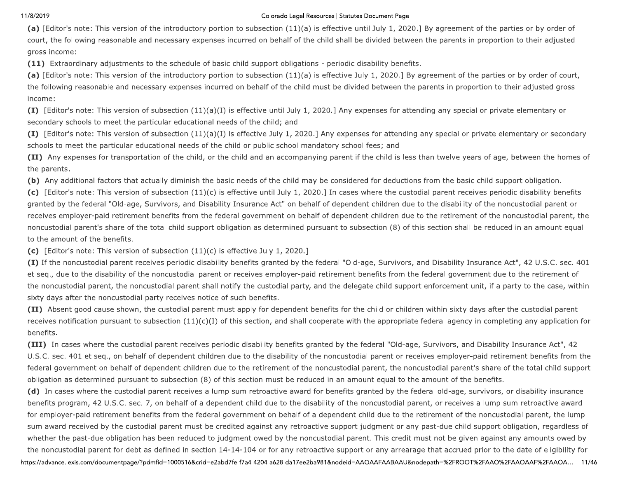### Colorado Legal Resources | Statutes Document Page

(a) [Editor's note: This version of the introductory portion to subsection (11)(a) is effective until July 1, 2020.] By agreement of the parties or by order of court, the following reasonable and necessary expenses incurred on behalf of the child shall be divided between the parents in proportion to their adjusted gross income:

(11) Extraordinary adjustments to the schedule of basic child support obligations - periodic disability benefits.

(a) [Editor's note: This version of the introductory portion to subsection (11)(a) is effective July 1, 2020.] By agreement of the parties or by order of court, the following reasonable and necessary expenses incurred on behalf of the child must be divided between the parents in proportion to their adjusted gross income:

(I) [Editor's note: This version of subsection  $(11)(a)(I)$  is effective until July 1, 2020.] Any expenses for attending any special or private elementary or secondary schools to meet the particular educational needs of the child; and

(I) [Editor's note: This version of subsection (11)(a)(I) is effective July 1, 2020.] Any expenses for attending any special or private elementary or secondary schools to meet the particular educational needs of the child or public school mandatory school fees; and

(II) Any expenses for transportation of the child, or the child and an accompanying parent if the child is less than twelve years of age, between the homes of the parents.

(b) Any additional factors that actually diminish the basic needs of the child may be considered for deductions from the basic child support obligation.

(c) [Editor's note: This version of subsection (11)(c) is effective until July 1, 2020.] In cases where the custodial parent receives periodic disability benefits granted by the federal "Old-age, Survivors, and Disability Insurance Act" on behalf of dependent children due to the disability of the noncustodial parent or receives employer-paid retirement benefits from the federal government on behalf of dependent children due to the retirement of the noncustodial parent, the noncustodial parent's share of the total child support obligation as determined pursuant to subsection (8) of this section shall be reduced in an amount equal to the amount of the benefits.

(c) [Editor's note: This version of subsection  $(11)(c)$  is effective July 1, 2020.]

(I) If the noncustodial parent receives periodic disability benefits granted by the federal "Old-age, Survivors, and Disability Insurance Act", 42 U.S.C. sec. 401 et seg., due to the disability of the noncustodial parent or receives employer-paid retirement benefits from the federal government due to the retirement of the noncustodial parent, the noncustodial parent shall notify the custodial party, and the delegate child support enforcement unit, if a party to the case, within sixty days after the noncustodial party receives notice of such benefits.

(II) Absent good cause shown, the custodial parent must apply for dependent benefits for the child or children within sixty days after the custodial parent receives notification pursuant to subsection  $(11)(c)(I)$  of this section, and shall cooperate with the appropriate federal agency in completing any application for benefits.

(III) In cases where the custodial parent receives periodic disability benefits granted by the federal "Old-age, Survivors, and Disability Insurance Act", 42 U.S.C. sec. 401 et seq., on behalf of dependent children due to the disability of the noncustodial parent or receives employer-paid retirement benefits from the federal government on behalf of dependent children due to the retirement of the noncustodial parent, the noncustodial parent's share of the total child support obligation as determined pursuant to subsection (8) of this section must be reduced in an amount equal to the amount of the benefits.

(d) In cases where the custodial parent receives a lump sum retroactive award for benefits granted by the federal old-age, survivors, or disability insurance benefits program, 42 U.S.C. sec. 7, on behalf of a dependent child due to the disability of the noncustodial parent, or receives a lump sum retroactive award for employer-paid retirement benefits from the federal government on behalf of a dependent child due to the retirement of the noncustodial parent, the lump sum award received by the custodial parent must be credited against any retroactive support judgment or any past-due child support obligation, regardless of whether the past-due obligation has been reduced to judgment owed by the noncustodial parent. This credit must not be given against any amounts owed by the noncustodial parent for debt as defined in section 14-14-104 or for any retroactive support or any arrearage that accrued prior to the date of eligibility for

https://advance.lexis.com/documentpage/?pdmfid=1000516&crid=e2abd7fe-f7a4-4204-a628-da17ee2ba981&nodeid=AAOAAFAABAAU&nodepath=%2FROOT%2FAAO%2FAAOAAF%2FAAOA... 11/46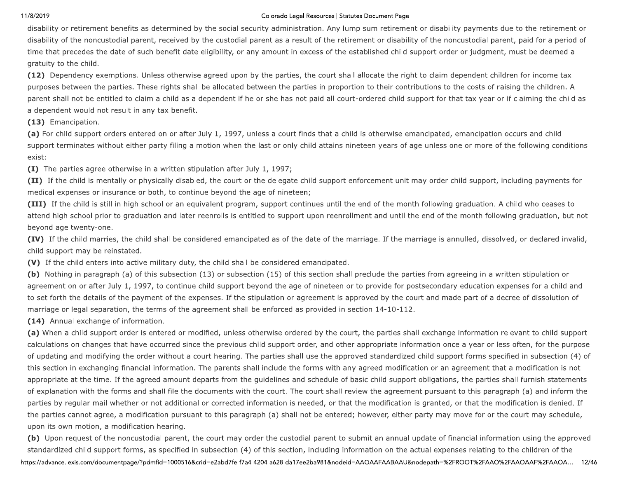### Colorado Legal Resources | Statutes Document Page

disability or retirement benefits as determined by the social security administration. Any lump sum retirement or disability payments due to the retirement or disability of the noncustodial parent, received by the custodial parent as a result of the retirement or disability of the noncustodial parent, paid for a period of time that precedes the date of such benefit date eligibility, or any amount in excess of the established child support order or judgment, must be deemed a gratuity to the child.

(12) Dependency exemptions. Unless otherwise agreed upon by the parties, the court shall allocate the right to claim dependent children for income tax purposes between the parties. These rights shall be allocated between the parties in proportion to their contributions to the costs of raising the children. A parent shall not be entitled to claim a child as a dependent if he or she has not paid all court-ordered child support for that tax year or if claiming the child as a dependent would not result in any tax benefit.

(13) Emancipation.

(a) For child support orders entered on or after July 1, 1997, unless a court finds that a child is otherwise emancipated, emancipation occurs and child support terminates without either party filing a motion when the last or only child attains nineteen years of age unless one or more of the following conditions exist:

**(I)** The parties agree otherwise in a written stipulation after July 1, 1997;

(II) If the child is mentally or physically disabled, the court or the delegate child support enforcement unit may order child support, including payments for medical expenses or insurance or both, to continue beyond the age of nineteen;

(III) If the child is still in high school or an equivalent program, support continues until the end of the month following graduation. A child who ceases to attend high school prior to graduation and later reenrolls is entitled to support upon reenrollment and until the end of the month following graduation, but not beyond age twenty-one.

(IV) If the child marries, the child shall be considered emancipated as of the date of the marriage. If the marriage is annulled, dissolved, or declared invalid, child support may be reinstated.

(V) If the child enters into active military duty, the child shall be considered emancipated.

(b) Nothing in paragraph (a) of this subsection (13) or subsection (15) of this section shall preclude the parties from agreeing in a written stipulation or agreement on or after July 1, 1997, to continue child support beyond the age of nineteen or to provide for postsecondary education expenses for a child and to set forth the details of the payment of the expenses. If the stipulation or agreement is approved by the court and made part of a decree of dissolution of marriage or legal separation, the terms of the agreement shall be enforced as provided in section 14-10-112.

(14) Annual exchange of information.

(a) When a child support order is entered or modified, unless otherwise ordered by the court, the parties shall exchange information relevant to child support calculations on changes that have occurred since the previous child support order, and other appropriate information once a year or less often, for the purpose of updating and modifying the order without a court hearing. The parties shall use the approved standardized child support forms specified in subsection (4) of this section in exchanging financial information. The parents shall include the forms with any agreed modification or an agreement that a modification is not appropriate at the time. If the agreed amount departs from the guidelines and schedule of basic child support obligations, the parties shall furnish statements of explanation with the forms and shall file the documents with the court. The court shall review the agreement pursuant to this paragraph (a) and inform the parties by regular mail whether or not additional or corrected information is needed, or that the modification is granted, or that the modification is denied. If the parties cannot agree, a modification pursuant to this paragraph (a) shall not be entered; however, either party may move for or the court may schedule, upon its own motion, a modification hearing.

(b) Upon request of the noncustodial parent, the court may order the custodial parent to submit an annual update of financial information using the approved standardized child support forms, as specified in subsection (4) of this section, including information on the actual expenses relating to the children of the https://advance.lexis.com/documentpage/?pdmfid=1000516&crid=e2abd7fe-f7a4-4204-a628-da17ee2ba981&nodeid=AAOAAFAABAAU&nodepath=%2FROOT%2FAAO%2FAAOAAF%2FAAOA... 12/46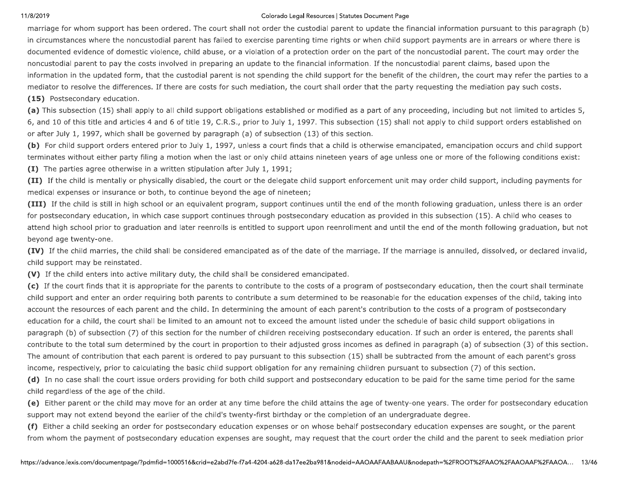### Colorado Legal Resources | Statutes Document Page

marriage for whom support has been ordered. The court shall not order the custodial parent to update the financial information pursuant to this paragraph (b) in circumstances where the noncustodial parent has failed to exercise parenting time rights or when child support payments are in arrears or where there is documented evidence of domestic violence, child abuse, or a violation of a protection order on the part of the noncustodial parent. The court may order the noncustodial parent to pay the costs involved in preparing an update to the financial information. If the noncustodial parent claims, based upon the information in the updated form, that the custodial parent is not spending the child support for the benefit of the children, the court may refer the parties to a mediator to resolve the differences. If there are costs for such mediation, the court shall order that the party requesting the mediation pay such costs. (15) Postsecondary education.

(a) This subsection (15) shall apply to all child support obligations established or modified as a part of any proceeding, including but not limited to articles 5, 6, and 10 of this title and articles 4 and 6 of title 19, C.R.S., prior to July 1, 1997. This subsection (15) shall not apply to child support orders established on or after July 1, 1997, which shall be governed by paragraph (a) of subsection (13) of this section.

(b) For child support orders entered prior to July 1, 1997, unless a court finds that a child is otherwise emancipated, emancipation occurs and child support terminates without either party filing a motion when the last or only child attains nineteen years of age unless one or more of the following conditions exist: (I) The parties agree otherwise in a written stipulation after July 1, 1991;

(II) If the child is mentally or physically disabled, the court or the delegate child support enforcement unit may order child support, including payments for medical expenses or insurance or both, to continue beyond the age of nineteen;

(III) If the child is still in high school or an equivalent program, support continues until the end of the month following graduation, unless there is an order for postsecondary education, in which case support continues through postsecondary education as provided in this subsection (15). A child who ceases to attend high school prior to graduation and later reenrolls is entitled to support upon reenrollment and until the end of the month following graduation, but not beyond age twenty-one.

(IV) If the child marries, the child shall be considered emancipated as of the date of the marriage. If the marriage is annulled, dissolved, or declared invalid, child support may be reinstated.

(V) If the child enters into active military duty, the child shall be considered emancipated.

(c) If the court finds that it is appropriate for the parents to contribute to the costs of a program of postsecondary education, then the court shall terminate child support and enter an order requiring both parents to contribute a sum determined to be reasonable for the education expenses of the child, taking into account the resources of each parent and the child. In determining the amount of each parent's contribution to the costs of a program of postsecondary education for a child, the court shall be limited to an amount not to exceed the amount listed under the schedule of basic child support obligations in paragraph (b) of subsection (7) of this section for the number of children receiving postsecondary education. If such an order is entered, the parents shall contribute to the total sum determined by the court in proportion to their adjusted gross incomes as defined in paragraph (a) of subsection (3) of this section. The amount of contribution that each parent is ordered to pay pursuant to this subsection (15) shall be subtracted from the amount of each parent's gross income, respectively, prior to calculating the basic child support obligation for any remaining children pursuant to subsection (7) of this section.

(d) In no case shall the court issue orders providing for both child support and postsecondary education to be paid for the same time period for the same child regardless of the age of the child.

(e) Either parent or the child may move for an order at any time before the child attains the age of twenty-one years. The order for postsecondary education support may not extend beyond the earlier of the child's twenty-first birthday or the completion of an undergraduate degree.

(f) Either a child seeking an order for postsecondary education expenses or on whose behalf postsecondary education expenses are sought, or the parent from whom the payment of postsecondary education expenses are sought, may request that the court order the child and the parent to seek mediation prior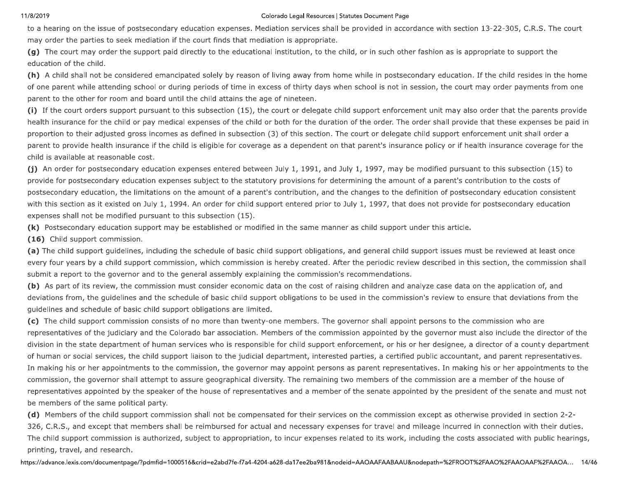### Colorado Legal Resources | Statutes Document Page

to a hearing on the issue of postsecondary education expenses. Mediation services shall be provided in accordance with section 13-22-305, C.R.S. The court may order the parties to seek mediation if the court finds that mediation is appropriate.

(g) The court may order the support paid directly to the educational institution, to the child, or in such other fashion as is appropriate to support the education of the child.

(h) A child shall not be considered emancipated solely by reason of living away from home while in postsecondary education. If the child resides in the home of one parent while attending school or during periods of time in excess of thirty days when school is not in session, the court may order payments from one parent to the other for room and board until the child attains the age of nineteen.

(i) If the court orders support pursuant to this subsection (15), the court or delegate child support enforcement unit may also order that the parents provide health insurance for the child or pay medical expenses of the child or both for the duration of the order. The order shall provide that these expenses be paid in proportion to their adjusted gross incomes as defined in subsection (3) of this section. The court or delegate child support enforcement unit shall order a parent to provide health insurance if the child is eligible for coverage as a dependent on that parent's insurance policy or if health insurance coverage for the child is available at reasonable cost.

(j) An order for postsecondary education expenses entered between July 1, 1991, and July 1, 1997, may be modified pursuant to this subsection (15) to provide for postsecondary education expenses subject to the statutory provisions for determining the amount of a parent's contribution to the costs of postsecondary education, the limitations on the amount of a parent's contribution, and the changes to the definition of postsecondary education consistent with this section as it existed on July 1, 1994. An order for child support entered prior to July 1, 1997, that does not provide for postsecondary education expenses shall not be modified pursuant to this subsection (15).

(k) Postsecondary education support may be established or modified in the same manner as child support under this article.

(16) Child support commission.

(a) The child support guidelines, including the schedule of basic child support obligations, and general child support issues must be reviewed at least once every four years by a child support commission, which commission is hereby created. After the periodic review described in this section, the commission shall submit a report to the governor and to the general assembly explaining the commission's recommendations.

(b) As part of its review, the commission must consider economic data on the cost of raising children and analyze case data on the application of, and deviations from, the guidelines and the schedule of basic child support obligations to be used in the commission's review to ensure that deviations from the guidelines and schedule of basic child support obligations are limited.

(c) The child support commission consists of no more than twenty-one members. The governor shall appoint persons to the commission who are representatives of the judiciary and the Colorado bar association. Members of the commission appointed by the governor must also include the director of the division in the state department of human services who is responsible for child support enforcement, or his or her designee, a director of a county department of human or social services, the child support liaison to the judicial department, interested parties, a certified public accountant, and parent representatives. In making his or her appointments to the commission, the governor may appoint persons as parent representatives. In making his or her appointments to the commission, the governor shall attempt to assure geographical diversity. The remaining two members of the commission are a member of the house of representatives appointed by the speaker of the house of representatives and a member of the senate appointed by the president of the senate and must not be members of the same political party.

(d) Members of the child support commission shall not be compensated for their services on the commission except as otherwise provided in section 2-2-326, C.R.S., and except that members shall be reimbursed for actual and necessary expenses for travel and mileage incurred in connection with their duties. The child support commission is authorized, subject to appropriation, to incur expenses related to its work, including the costs associated with public hearings, printing, travel, and research.

https://advance.lexis.com/documentpage/?pdmfid=1000516&crid=e2abd7fe-f7a4-4204-a628-da17ee2ba981&nodeid=AAOAAFAABAAU&nodepath=%2FROOT%2FAAO%2FAAOAAF%2FAAOA... 14/46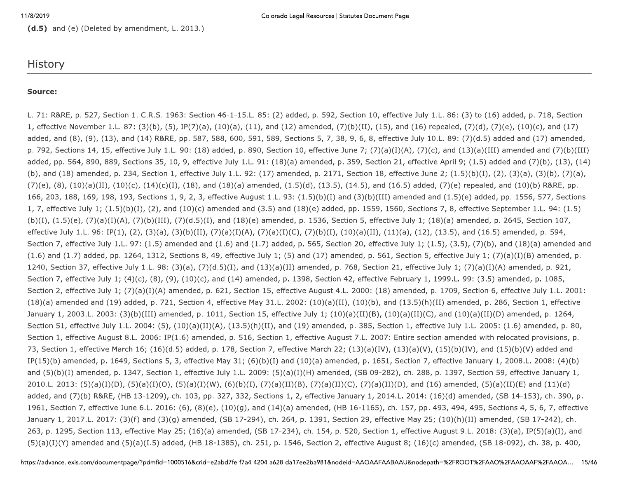(d.5) and (e) (Deleted by amendment, L. 2013.)

## **History**

### Source:

L. 71: R&RE, p. 527, Section 1. C.R.S. 1963: Section 46-1-15.L. 85: (2) added, p. 592, Section 10, effective July 1.L. 86: (3) to (16) added, p. 718, Section 1, effective November 1.L. 87: (3)(b), (5), IP(7)(a), (10)(a), (11), and (12) amended, (7)(b)(II), (15), and (16) repealed, (7)(d), (7)(e), (10)(c), and (17) added, and (8), (9), (13), and (14) R&RE, pp. 587, 588, 600, 591, 589, Sections 5, 7, 38, 9, 6, 8, effective July 10.L. 89: (7)(d.5) added and (17) amended, p. 792, Sections 14, 15, effective July 1.L. 90: (18) added, p. 890, Section 10, effective June 7; (7)(a)(I)(A), (7)(c), and (13)(a)(III) amended and (7)(b)(III) added, pp. 564, 890, 889, Sections 35, 10, 9, effective July 1.L. 91: (18)(a) amended, p. 359, Section 21, effective April 9; (1.5) added and (7)(b), (13), (14) (b), and (18) amended, p. 234, Section 1, effective July 1.L. 92: (17) amended, p. 2171, Section 18, effective June 2; (1.5)(b)(I), (2), (3)(a), (3)(b), (7)(a),  $(7)(e)$ ,  $(8)$ ,  $(10)(a)(II)$ ,  $(10)(c)$ ,  $(14)(c)(I)$ ,  $(18)$ , and  $(18)(a)$  amended,  $(1.5)(d)$ ,  $(13.5)$ ,  $(14.5)$ , and  $(16.5)$  added,  $(7)(e)$  repealed, and  $(10)(b)$  R&RE, pp. 166, 203, 188, 169, 198, 193, Sections 1, 9, 2, 3, effective August 1.L. 93: (1.5)(b)(I) and (3)(b)(III) amended and (1.5)(e) added, pp. 1556, 577, Sections 1, 7, effective July 1;  $(1.5)(b)(I)$ ,  $(2)$ , and  $(10)(c)$  amended and  $(3.5)$  and  $(18)(e)$  added, pp. 1559, 1560, Sections 7, 8, effective September 1.L. 94:  $(1.5)$  $(b)(I), (1.5)(e), (7)(a)(I)(A), (7)(b)(III), (7)(d.5)(I),$  and  $(18)(e)$  amended, p. 1536, Section 5, effective July 1;  $(18)(a)$  amended, p. 2645, Section 107, effective July 1.L. 96: IP(1), (2), (3)(a), (3)(b)(II), (7)(a)(I)(A), (7)(a)(I)(C), (7)(b)(I), (10)(a)(II), (11)(a), (12), (13.5), and (16.5) amended, p. 594, Section 7, effective July 1.L. 97: (1.5) amended and (1.6) and (1.7) added, p. 565, Section 20, effective July 1; (1.5), (3.5), (7)(b), and (18)(a) amended and  $(1.6)$  and  $(1.7)$  added, pp. 1264, 1312, Sections 8, 49, effective July 1; (5) and (17) amended, p. 561, Section 5, effective July 1; (7)(a)(I)(B) amended, p. 1240, Section 37, effective July 1.L. 98: (3)(a), (7)(d.5)(I), and (13)(a)(II) amended, p. 768, Section 21, effective July 1; (7)(a)(I)(A) amended, p. 921, Section 7, effective July 1; (4)(c), (8), (9), (10)(c), and (14) amended, p. 1398, Section 42, effective February 1, 1999.L. 99: (3.5) amended, p. 1085, Section 2, effective July 1; (7)(a)(I)(A) amended, p. 621, Section 15, effective August 4.L. 2000: (18) amended, p. 1709, Section 6, effective July 1.L. 2001:  $(18)(a)$  amended and  $(19)$  added, p. 721, Section 4, effective May 31.L. 2002:  $(10)(a)(II)$ ,  $(10)(b)$ , and  $(13.5)(h)(II)$  amended, p. 286, Section 1, effective January 1, 2003.L. 2003: (3)(b)(III) amended, p. 1011, Section 15, effective July 1; (10)(a)(II)(B), (10)(a)(II)(C), and (10)(a)(II)(D) amended, p. 1264, Section 51, effective July 1.L. 2004: (5), (10)(a)(II)(A), (13.5)(h)(II), and (19) amended, p. 385, Section 1, effective July 1.L. 2005: (1.6) amended, p. 80, Section 1, effective August 8.L. 2006: IP(1.6) amended, p. 516, Section 1, effective August 7.L. 2007: Entire section amended with relocated provisions, p. 73, Section 1, effective March 16; (16)(d.5) added, p. 178, Section 7, effective March 22; (13)(a)(IV), (13)(a)(V), (15)(b)(IV), and (15)(b)(V) added and IP(15)(b) amended, p. 1649, Sections 5, 3, effective May 31; (6)(b)(I) and (10)(a) amended, p. 1651, Section 7, effective January 1, 2008.L. 2008: (4)(b) and  $(5)(b)(I)$  amended, p. 1347, Section 1, effective July 1.L. 2009:  $(5)(a)(I)(H)$  amended,  $(SB 09-282)$ , ch. 288, p. 1397, Section 59, effective January 1, 2010.L. 2013: (5)(a)(I)(D), (5)(a)(I)(O), (5)(a)(I)(W), (6)(b)(I), (7)(a)(II)(B), (7)(a)(II)(C), (7)(a)(II)(D), and (16) amended, (5)(a)(II)(E) and (11)(d) added, and (7)(b) R&RE, (HB 13-1209), ch. 103, pp. 327, 332, Sections 1, 2, effective January 1, 2014.L. 2014: (16)(d) amended, (SB 14-153), ch. 390, p. 1961, Section 7, effective June 6.L. 2016: (6), (8)(e), (10)(g), and (14)(a) amended, (HB 16-1165), ch. 157, pp. 493, 494, 495, Sections 4, 5, 6, 7, effective January 1, 2017.L. 2017: (3)(f) and (3)(g) amended, (SB 17-294), ch. 264, p. 1391, Section 29, effective May 25; (10)(h)(II) amended, (SB 17-242), ch. 263, p. 1295, Section 113, effective May 25; (16)(a) amended, (SB 17-234), ch. 154, p. 520, Section 1, effective August 9.L. 2018: (3)(a), IP(5)(a)(I), and  $(5)(a)(1)(Y)$  amended and  $(5)(a)(1.5)$  added, (HB 18-1385), ch. 251, p. 1546, Section 2, effective August 8; (16)(c) amended, (SB 18-092), ch. 38, p. 400,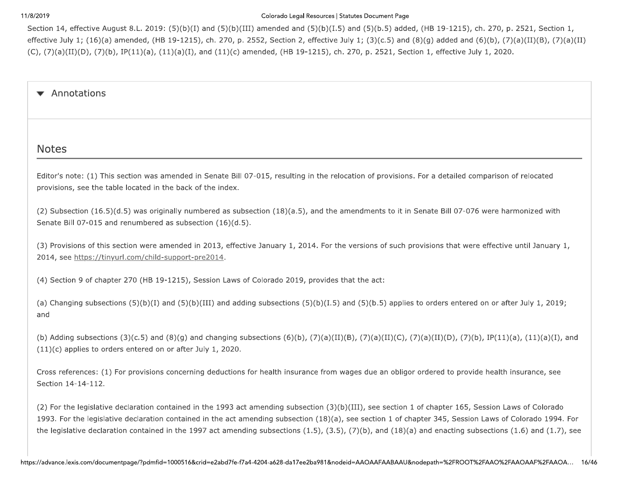11/8/2019<br>Section 14, effective<br>effective July 1; (1<br>(C), (7)(a)(II)(D), Colorado Legal Resources |<br>
Section 14, effective August 8.L. 2019: (5)(b)(I) and (5)(b)(III) amended and (5)(b)(I.!<br>
effective July 1; (16)(a) amended, (HB 19-1215), ch. 270, p. 2552, Section 2, effective<br>
(C), (7)(a)(II Colorado Legal Resources | Statutes<br>
(5)(b)(III) amended and  $(5)(b)(I.5)$  and<br>
270, p. 2552, Section 2, effective July 1<br>
11)(c) amended, (HB 19-1215), ch. 270, Colorado Legal Resources | Statutes Document Page<br>(III) amended and (5)(b)(I.5) and (5)(b.5) add<br>o. 2552, Section 2, effective July 1; (3)(c.5) and<br>amended, (HB 19-1215), ch. 270, p. 2521, Se d and (5)(b)(I.5) and (5)(b.5) added, (HB 19-121<br>ion 2, effective July 1; (3)(c.5) and (8)(g) added<br>HB 19-1215), ch. 270, p. 2521, Section 1, effectiv Statutes Document Page<br>5) and (5)(b.5) added, (HB 19-1215)<br>July 1; (3)(c.5) and (8)(g) added an<br>1. 270, p. 2521, Section 1, effective Wear<br>
16. The State Accord 1, 30 5 650011 and 810011<br>
State and Accord 1, 100 and 200 600011 and 810011 contacts the state of the U.S. State (1919 15.15, ch. 2019, 15.16, 16.<br>
State and Accord 2, 1980, 1990, 1990, 1990, 1

(2) For the legislation<br>1993. For the legis<br>the legislative deck<br>the legislative deck<br>https://advance.lexis.com/doc (2) For the legislative<br>1993. For the legislati<br>the legislative declara<br>https://advance.lexis.com/docum (2) For the legislative declaration contained<br>1993. For the legislative declaration contained<br>the legislative declaration contained in the<br>https://advance.lexis.com/documentpage/?pdmfid=1000516 he legislative declaration contained in the 1993 act amendin<br>
r the legislative declaration contained in the act amending s<br>
lative declaration contained in the 1997 act amending subse<br>
exis.com/documentpage/?pdmfid=100051 contained in the 1993 act amending subse<br>on contained in the act amending subsecticed<br>in the 1997 act amending subsections (<br>id=1000516&crid=e2abd7fe-f7a4-4204-a628-da17ee: d in the 1993 act amending subsection (3<br>ined in the act amending subsection (18)<br>+ 1997 act amending subsections (1.5), (3<br>16&crid=e2abd7fe-f7a4-4204-a628-da17ee2ba981& e 1993 act amending subsection (3)(<br>the act amending subsection (18)(a)<br>act amending subsections (1.5), (3.5)<br>e2abd7fe-f7a4-4204-a628-da17ee2ba981&nod 993 act amending subsection  $(3)(b)$ <br>e act amending subsection  $(18)(a)$ , so<br>amending subsections  $(1.5)$ ,  $(3.5)$ ,  $($ <br>bd7fe-f7a4-4204-a628-da17ee2ba981&nodeid 3 act amending subsection (3)(b)(III), se<br>ct amending subsection (18)(a), see sect<br>nending subsections (1.5), (3.5), (7)(b),<br><sup>7</sup>fe-f7a4-4204-a628-da17ee2ba981&nodeid=AAOA mending subsection (3)(b)(III), see<br>nding subsection (18)(a), see section<br>g subsections (1.5), (3.5), (7)(b), ar<br>4204-a628-da17ee2ba981&nodeid=AAOAAF, ending subsection (3)(b)(III), see section 1 of chapter 165, Sessiveling subsection (18)(a), see section 1 of chapter 345, Session Lav<br>subsections (1.5), (3.5), (7)(b), and (18)(a) and enacting subsect<br>04-a628-da17ee2ba981 ee section 1 of chapter 165, Session Laws of Colorado<br>tion 1 of chapter 345, Session Laws of Colorado 1994. For<br>, and (18)(a) and enacting subsections (1.6) and (1.7), see<br>AAFAABAAU&nodepath=%2FROOT%2FAAO%2FAAOAAF%2FAAOA..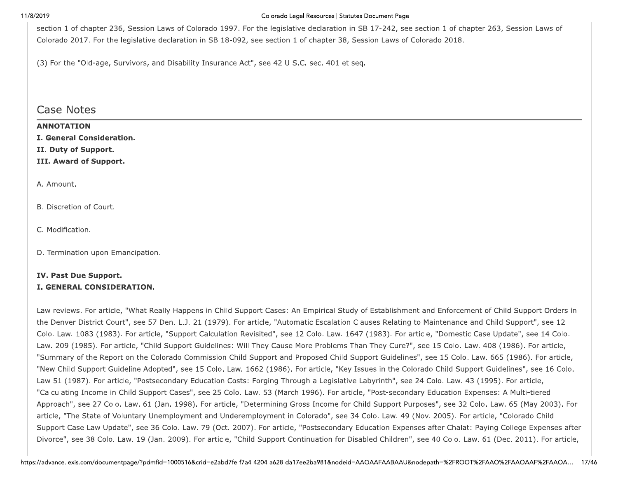### Colorado Legal Resources | Statutes Document Page

section 1 of chapter 236, Session Laws of Colorado 1997. For the legislative declaration in SB 17-242, see section 1 of chapter 263, Session Laws of Colorado 2017. For the legislative declaration in SB 18-092, see section 1 of chapter 38, Session Laws of Colorado 2018.

(3) For the "Old-age, Survivors, and Disability Insurance Act", see 42 U.S.C. sec. 401 et seg.

## **Case Notes**

*ANNOTATION* 

| I. General Consideration.         |
|-----------------------------------|
| II. Duty of Support.              |
| III. Award of Support.            |
|                                   |
| A. Amount.                        |
|                                   |
| B. Discretion of Court.           |
|                                   |
| C. Modification.                  |
|                                   |
| D. Termination upon Emancipation. |

## IV. Past Due Support. I. GENERAL CONSIDERATION.

Law reviews. For article, "What Really Happens in Child Support Cases: An Empirical Study of Establishment and Enforcement of Child Support Orders in the Denver District Court", see 57 Den. L.J. 21 (1979). For article, "Automatic Escalation Clauses Relating to Maintenance and Child Support", see 12 Colo, Law. 1083 (1983). For article, "Support Calculation Revisited", see 12 Colo, Law. 1647 (1983). For article, "Domestic Case Update", see 14 Colo. Law. 209 (1985). For article, "Child Support Guidelines: Will They Cause More Problems Than They Cure?", see 15 Colo. Law. 408 (1986). For article, "Summary of the Report on the Colorado Commission Child Support and Proposed Child Support Guidelines", see 15 Colo. Law. 665 (1986). For article, "New Child Support Guideline Adopted", see 15 Colo. Law. 1662 (1986). For article, "Key Issues in the Colorado Child Support Guidelines", see 16 Colo. Law 51 (1987). For article, "Postsecondary Education Costs: Forging Through a Legislative Labyrinth", see 24 Colo. Law. 43 (1995). For article, "Calculating Income in Child Support Cases", see 25 Colo. Law. 53 (March 1996). For article, "Post-secondary Education Expenses: A Multi-tiered Approach", see 27 Colo. Law. 61 (Jan. 1998). For article, "Determining Gross Income for Child Support Purposes", see 32 Colo. Law. 65 (May 2003). For article, "The State of Voluntary Unemployment and Underemployment in Colorado", see 34 Colo. Law. 49 (Nov. 2005). For article, "Colorado Child Support Case Law Update", see 36 Colo. Law. 79 (Oct. 2007). For article, "Postsecondary Education Expenses after Chalat: Paying College Expenses after Divorce", see 38 Colo. Law. 19 (Jan. 2009). For article, "Child Support Continuation for Disabled Children", see 40 Colo. Law. 61 (Dec. 2011). For article,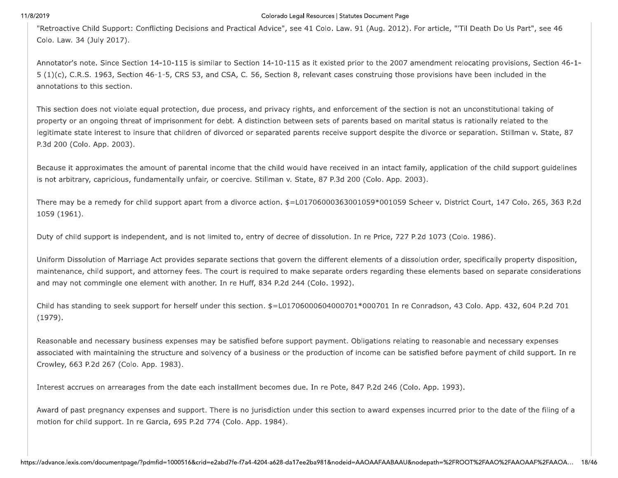### Colorado Legal Resources | Statutes Document Page

"Retroactive Child Support: Conflicting Decisions and Practical Advice", see 41 Colo. Law. 91 (Aug. 2012). For article, "'Til Death Do Us Part", see 46 Colo. Law. 34 (July 2017).

Annotator's note. Since Section 14-10-115 is similar to Section 14-10-115 as it existed prior to the 2007 amendment relocating provisions, Section 46-1- $5(1)(c)$ , C.R.S. 1963, Section 46-1-5, CRS 53, and CSA, C. 56, Section 8, relevant cases construing those provisions have been included in the annotations to this section.

This section does not violate equal protection, due process, and privacy rights, and enforcement of the section is not an unconstitutional taking of property or an ongoing threat of imprisonment for debt. A distinction between sets of parents based on marital status is rationally related to the legitimate state interest to insure that children of divorced or separated parents receive support despite the divorce or separation. Stillman v. State, 87 P.3d 200 (Colo. App. 2003).

Because it approximates the amount of parental income that the child would have received in an intact family, application of the child support guidelines is not arbitrary, capricious, fundamentally unfair, or coercive. Stillman v. State, 87 P.3d 200 (Colo. App. 2003).

There may be a remedy for child support apart from a divorce action. \$=L01706000363001059\*001059 Scheer v. District Court, 147 Colo. 265, 363 P.2d 1059 (1961).

Duty of child support is independent, and is not limited to, entry of decree of dissolution. In re Price, 727 P.2d 1073 (Colo. 1986).

Uniform Dissolution of Marriage Act provides separate sections that govern the different elements of a dissolution order, specifically property disposition, maintenance, child support, and attorney fees. The court is required to make separate orders regarding these elements based on separate considerations and may not commingle one element with another. In re Huff, 834 P.2d 244 (Colo. 1992).

Child has standing to seek support for herself under this section. \$=L01706000604000701\*000701 In re Conradson, 43 Colo. App. 432, 604 P.2d 701  $(1979).$ 

Reasonable and necessary business expenses may be satisfied before support payment. Obligations relating to reasonable and necessary expenses associated with maintaining the structure and solvency of a business or the production of income can be satisfied before payment of child support. In re Crowley, 663 P.2d 267 (Colo. App. 1983).

Interest accrues on arrearages from the date each installment becomes due. In re Pote, 847 P.2d 246 (Colo. App. 1993).

Award of past pregnancy expenses and support. There is no jurisdiction under this section to award expenses incurred prior to the date of the filing of a motion for child support. In re Garcia, 695 P.2d 774 (Colo. App. 1984).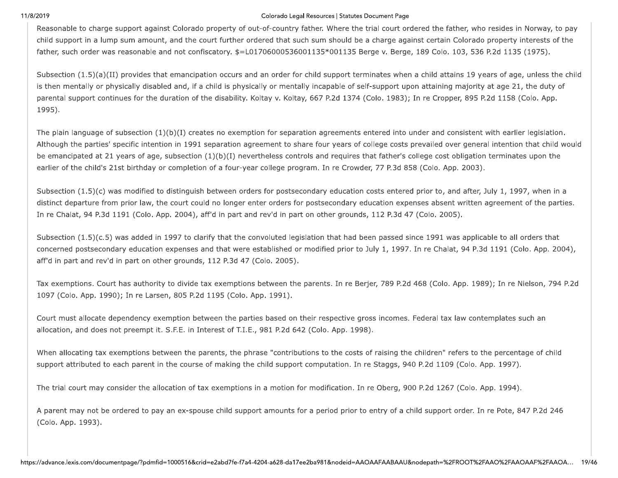### Colorado Legal Resources | Statutes Document Page

Reasonable to charge support against Colorado property of out-of-country father. Where the trial court ordered the father, who resides in Norway, to pay child support in a lump sum amount, and the court further ordered that such sum should be a charge against certain Colorado property interests of the father, such order was reasonable and not confiscatory. \$=L01706000536001135\*001135 Berge v. Berge, 189 Colo. 103, 536 P.2d 1135 (1975).

Subsection (1.5)(a)(II) provides that emancipation occurs and an order for child support terminates when a child attains 19 years of age, unless the child is then mentally or physically disabled and, if a child is physically or mentally incapable of self-support upon attaining majority at age 21, the duty of parental support continues for the duration of the disability. Koltay v. Koltay, 667 P.2d 1374 (Colo. 1983); In re Cropper, 895 P.2d 1158 (Colo. App. 1995).

The plain language of subsection  $(1)(b)(I)$  creates no exemption for separation agreements entered into under and consistent with earlier legislation. Although the parties' specific intention in 1991 separation agreement to share four years of college costs prevailed over general intention that child would be emancipated at 21 years of age, subsection (1)(b)(I) nevertheless controls and requires that father's college cost obligation terminates upon the earlier of the child's 21st birthday or completion of a four-year college program. In re Crowder, 77 P.3d 858 (Colo. App. 2003).

Subsection (1.5)(c) was modified to distinguish between orders for postsecondary education costs entered prior to, and after, July 1, 1997, when in a distinct departure from prior law, the court could no longer enter orders for postsecondary education expenses absent written agreement of the parties. In re Chalat, 94 P.3d 1191 (Colo. App. 2004), aff'd in part and rev'd in part on other grounds, 112 P.3d 47 (Colo. 2005).

Subsection (1.5)(c.5) was added in 1997 to clarify that the convoluted legislation that had been passed since 1991 was applicable to all orders that concerned postsecondary education expenses and that were established or modified prior to July 1, 1997. In re Chalat, 94 P.3d 1191 (Colo. App. 2004), aff'd in part and rev'd in part on other grounds, 112 P.3d 47 (Colo. 2005).

Tax exemptions. Court has authority to divide tax exemptions between the parents. In re Berjer, 789 P.2d 468 (Colo. App. 1989); In re Nielson, 794 P.2d 1097 (Colo. App. 1990); In re Larsen, 805 P.2d 1195 (Colo. App. 1991).

Court must allocate dependency exemption between the parties based on their respective gross incomes. Federal tax law contemplates such an allocation, and does not preempt it. S.F.E. in Interest of T.I.E., 981 P.2d 642 (Colo. App. 1998).

When allocating tax exemptions between the parents, the phrase "contributions to the costs of raising the children" refers to the percentage of child support attributed to each parent in the course of making the child support computation. In re Staggs, 940 P.2d 1109 (Colo. App. 1997).

The trial court may consider the allocation of tax exemptions in a motion for modification. In re Oberg, 900 P.2d 1267 (Colo. App. 1994).

A parent may not be ordered to pay an ex-spouse child support amounts for a period prior to entry of a child support order. In re Pote, 847 P.2d 246 (Colo. App. 1993).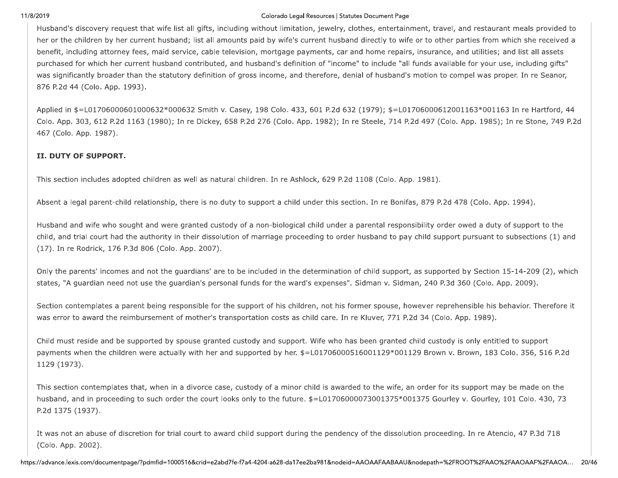### Colorado Legal Resources | Statutes Document Page

Husband's discovery request that wife list all gifts, including without limitation, jewelry, clothes, entertainment, travel, and restaurant meals provided to her or the children by her current husband; list all amounts paid by wife's current husband directly to wife or to other parties from which she received a benefit, including attorney fees, maid service, cable television, mortgage payments, car and home repairs, insurance, and utilities; and list all assets purchased for which her current husband contributed, and husband's definition of "income" to include "all funds available for your use, including gifts" was significantly broader than the statutory definition of gross income, and therefore, denial of husband's motion to compel was proper. In re Seanor, 876 P.2d 44 (Colo. App. 1993).

Applied in \$=L01706000601000632\*000632 Smith v. Casey, 198 Colo. 433, 601 P.2d 632 (1979); \$=L01706000612001163\*001163 In re Hartford, 44 Colo. App. 303, 612 P.2d 1163 (1980); In re Dickey, 658 P.2d 276 (Colo. App. 1982); In re Steele, 714 P.2d 497 (Colo. App. 1985); In re Stone, 749 P.2d 467 (Colo. App. 1987).

## II. DUTY OF SUPPORT.

This section includes adopted children as well as natural children. In re Ashlock, 629 P.2d 1108 (Colo. App. 1981).

Absent a legal parent-child relationship, there is no duty to support a child under this section. In re Bonifas, 879 P.2d 478 (Colo. App. 1994).

Husband and wife who sought and were granted custody of a non-biological child under a parental responsibility order owed a duty of support to the child, and trial court had the authority in their dissolution of marriage proceeding to order husband to pay child support pursuant to subsections (1) and (17). In re Rodrick, 176 P.3d 806 (Colo. App. 2007).

Only the parents' incomes and not the guardians' are to be included in the determination of child support, as supported by Section 15-14-209 (2), which states, "A quardian need not use the quardian's personal funds for the ward's expenses". Sidman v. Sidman, 240 P.3d 360 (Colo. App. 2009).

Section contemplates a parent being responsible for the support of his children, not his former spouse, however reprehensible his behavior. Therefore it was error to award the reimbursement of mother's transportation costs as child care. In re Kluver, 771 P.2d 34 (Colo. App. 1989).

Child must reside and be supported by spouse granted custody and support. Wife who has been granted child custody is only entitled to support payments when the children were actually with her and supported by her. \$=L01706000516001129\*001129 Brown v. Brown, 183 Colo. 356, 516 P.2d 1129 (1973).

This section contemplates that, when in a divorce case, custody of a minor child is awarded to the wife, an order for its support may be made on the husband, and in proceeding to such order the court looks only to the future. \$=L01706000073001375\*001375 Gourley v. Gourley, 101 Colo. 430, 73 P.2d 1375 (1937).

It was not an abuse of discretion for trial court to award child support during the pendency of the dissolution proceeding. In re Atencio, 47 P.3d 718 (Colo. App. 2002).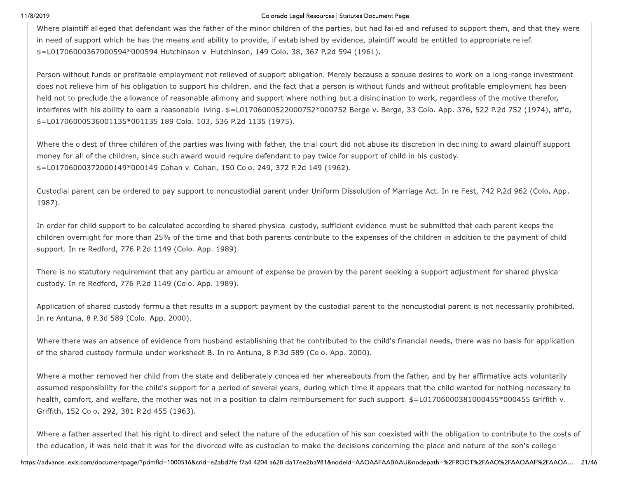### Colorado Legal Resources | Statutes Document Page

Where plaintiff alleged that defendant was the father of the minor children of the parties, but had failed and refused to support them, and that they were in need of support which he has the means and ability to provide, if established by evidence, plaintiff would be entitled to appropriate relief. \$=L01706000367000594\*000594 Hutchinson v. Hutchinson, 149 Colo. 38, 367 P.2d 594 (1961).

Person without funds or profitable employment not relieved of support obligation. Merely because a spouse desires to work on a long-range investment does not relieve him of his obligation to support his children, and the fact that a person is without funds and without profitable employment has been held not to preclude the allowance of reasonable alimony and support where nothing but a disinclination to work, regardless of the motive therefor, interferes with his ability to earn a reasonable living. \$=L01706000522000752\*000752 Berge v. Berge, 33 Colo. App. 376, 522 P.2d 752 (1974), aff'd, \$=L01706000536001135\*001135 189 Colo. 103, 536 P.2d 1135 (1975).

Where the oldest of three children of the parties was living with father, the trial court did not abuse its discretion in declining to award plaintiff support money for all of the children, since such award would require defendant to pay twice for support of child in his custody. \$=L01706000372000149\*000149 Cohan v. Cohan, 150 Colo. 249, 372 P.2d 149 (1962).

Custodial parent can be ordered to pay support to noncustodial parent under Uniform Dissolution of Marriage Act. In re Fest, 742 P.2d 962 (Colo. App. 1987).

In order for child support to be calculated according to shared physical custody, sufficient evidence must be submitted that each parent keeps the children overnight for more than 25% of the time and that both parents contribute to the expenses of the children in addition to the payment of child support. In re Redford, 776 P.2d 1149 (Colo. App. 1989).

There is no statutory requirement that any particular amount of expense be proven by the parent seeking a support adjustment for shared physical custody. In re Redford, 776 P.2d 1149 (Colo. App. 1989).

Application of shared custody formula that results in a support payment by the custodial parent to the noncustodial parent is not necessarily prohibited. In re Antuna, 8 P.3d 589 (Colo. App. 2000).

Where there was an absence of evidence from husband establishing that he contributed to the child's financial needs, there was no basis for application of the shared custody formula under worksheet B. In re Antuna, 8 P.3d 589 (Colo. App. 2000).

Where a mother removed her child from the state and deliberately concealed her whereabouts from the father, and by her affirmative acts voluntarily assumed responsibility for the child's support for a period of several years, during which time it appears that the child wanted for nothing necessary to health, comfort, and welfare, the mother was not in a position to claim reimbursement for such support. \$=L01706000381000455\*000455 Griffith v. Griffith, 152 Colo. 292, 381 P.2d 455 (1963).

Where a father asserted that his right to direct and select the nature of the education of his son coexisted with the obligation to contribute to the costs of the education, it was held that it was for the divorced wife as custodian to make the decisions concerning the place and nature of the son's college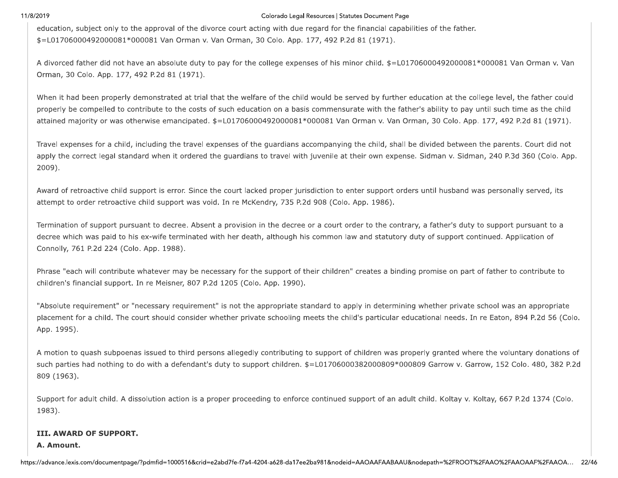11/8/2019<br>
education, subje<br>  $$=$ L0170600049<br>
A divorced fathe<br>
Orman, 30 Colo Colorado Legal Resources |<br>education, subject only to the approval of the divorce court acting with due regard for<br>\$=L01706000492000081\*000081 Van Orman v. Van Orman, 30 Colo. App. 177, 492<br>A divorced father did not have a Colorado Legal Resources | Statutes<br>
Ce court acting with due regard for the fi<br>
An Orman, 30 Colo. App. 177, 492 P.2d 8<br>
pay for the college expenses of his minor Colorado Legal Resources | Statutes Document Page<br>
rt acting with due regard for the financial capal<br>
nan, 30 Colo. App. 177, 492 P.2d 81 (1971).<br>
r the college expenses of his minor child. \$=L0: o Legal Resources | Statutes Document Page<br>1 due regard for the financial capabilities of the fai<br>App. 177, 492 P.2d 81 (1971).<br>expenses of his minor child. \$=L01706000492000 Statutes Document Page<br>• the financial capabilities of the fath<br>P.2d 81 (1971).<br>• minor child. \$=L017060004920000

The state and of a sympath consideration of the distance and Collection and the state consideration of  $T$  Collection (1970).<br>
A shorter factor of the line of state of the distance of the distance of the first of the coll

1983).<br>
III. AWARD OF S<br>
A. Amount.<br>
https://advance.lexis.com/doc 1983).<br>
III. AWARD OF SUP<br>
A. Amount.<br>
https://advance.lexis.com/docum 1983).<br>
III. AWARD OF SUPPORT.<br>
A. Amount.<br>
https://advance.lexis.com/documentpage/?pdmfid=1000516 ARD OF SUPPORT.<br>unt.<br>exis.com/documentpage/?pdmfid=1000516&crid=e2abd7fe-f7a4-4204-a62 id=1000516&crid=e2abd7fe-f7a4-4204-a628-da17ee:<br>|-<br>|-+\*++\* &-.<br>|-<br>|-<br>|-<br>|-<br>|- |-<br>|- |-<br>|- |-<br>|- |-<br>|- |-<br>|- |-<br>|- |-<br>|- |-<br>|- |-<br>|- |-<br>|- |-<br>|- |-|<br>|-<br>|-<br>|-<br>|-<br>|--.<br>04-a628-da17ee2ba981&nodeid=AAOAAFAABAAU&nodepath=%2FROOT%2FAA<br>04-a628-da17ee2ba981&nodeid=AAOAAFAABAAU&nodepath=%2FROOT%2FAA  $\begin{array}{|l|l|} \hline \rule{0pt}{13pt} \rule{0pt}{2.2pt} \rule{0pt}{2.2pt} \rule{0pt}{2.2pt} \rule{0pt}{2.2pt} \rule{0pt}{2.2pt} \rule{0pt}{2.2pt} \rule{0pt}{2.2pt} \rule{0pt}{2.2pt} \rule{0pt}{2.2pt} \rule{0pt}{2.2pt} \rule{0pt}{2.2pt} \rule{0pt}{2.2pt} \rule{0pt}{2.2pt} \rule{0pt}{2.2pt} \rule{0pt}{2.2pt} \rule{0pt}{2.2pt} \rule{0pt}{2.2pt} \rule{0pt}{2.2pt$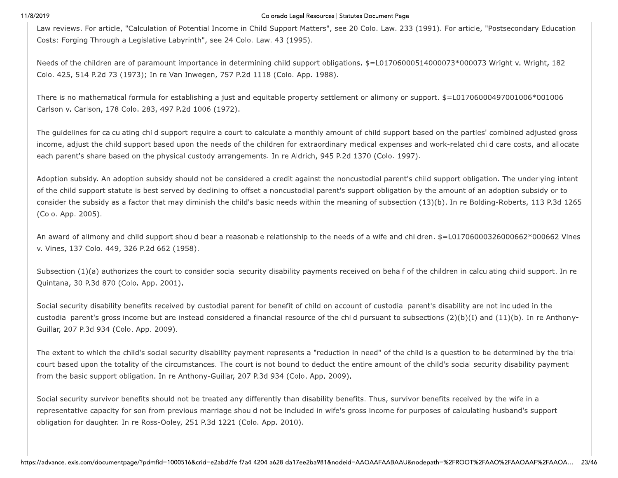11/8/2019<br>
Law reviews. Fo<br>
Costs: Forging 1<br>
Needs of the ch<br>
Colo. 425, 514 Colorado Legal Resources |<br>
Law reviews. For article, "Calculation of Potential Income in Child Support Matters", so<br>
Costs: Forging Through a Legislative Labyrinth", see 24 Colo. Law. 43 (1995).<br>
Needs of the children are Colorado Legal Resources | Statutes<br>
1995).<br>
24 Colo. Law. 43 (1995).<br>
25 P.2d 1118 (Colo. App. 1988). Colorado Legal Resources | Statutes Document Page<br>in Child Support Matters", see 20 Colo. Law. 23<br>olo. Law. 43 (1995).<br>ermining child support obligations. \$=L017060<br>2d 1118 (Colo. App. 1988). o Legal Resources | Statutes Document Page<br>)ort Matters", see 20 Colo. Law. 233 (1991). For a<br>(1995).<br>d support obligations. \$=L01706000514000073\*<br>lo. App. 1988). Statutes Document Page<br>ee 20 Colo. Law. 233 (1991). For art<br>ations. \$=L01706000514000073\*00

mear.<br>
The reduction and the Calculation of Stering Loses in Calculation was entitled and the State. The article Calculation of the State of Temperature of the State of Temperature of the State of Temperature of the State

representative capa<br>obligation for daug<br>https://advance.lexis.com/doo representative capacit<br>obligation for daughte<br>https://advance.lexis.com/docum representative capacity for son from previor<br>obligation for daughter. In re Ross-Ooley, 2<br>https://advance.lexis.com/documentpage/?pdmfid=100051 tative capacity for son from previous marriage should not be<br>n for daughter. In re Ross-Ooley, 251 P.3d 1221 (Colo. App.<br>exis.com/documentpage/?pdmfid=1000516&crid=e2abd7fe-f7a4-4204-a62 m previous marriage should not be include<br>-Ooley, 251 P.3d 1221 (Colo. App. 2010).<br>id=1000516&crid=e2abd7fe-f7a4-4204-a628-da17ee: ous marriage should not be included in wi<br>251 P.3d 1221 (Colo. App. 2010).<br>16&crid=e2abd7fe-f7a4-4204-a628-da17ee2ba981& rriage should not be included in wife'<br>Id 1221 (Colo. App. 2010).<br>e2abd7fe-f7a4-4204-a628-da17ee2ba981&nod 1<br>age should not be included in wife's g<br>1221 (Colo. App. 2010).<br>bd7fe-f7a4-4204-a628-da17ee2ba981&nodeid )<br>e should not be included in wife's gross in<br>21 (Colo. App. 2010).<br>The-17a4-4204-a628-da17ee2ba981&nodeid=AAOA d not be included in wife's gross inco<br>0. App. 2010).<br>4204-a628-da17ee2ba981&nodeid=AAOAAF, ...<br>
not be included in wife's gross income for purposes of calculating<br>
App. 2010).<br>
04-a628-da17ee2ba981&nodeid=AAOAAFAABAAU&nodepath=%2FROOT%2FAA ncome for purposes of calculating husband's support<br>
AAFAABAAU&nodepath=%2FROOT%2FAAO%2FAAOAAF%2FAAOA... 23/46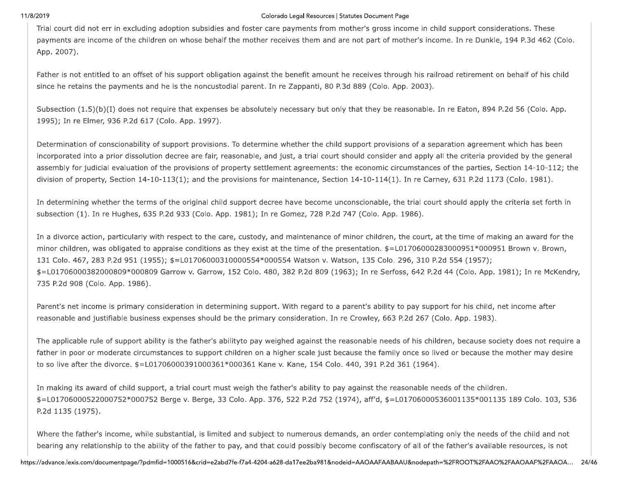11/8/2019<br>
Trial court did n<br>
payments are ir<br>
App. 2007).<br>
Father is not en Colorado Legal Resources |<br>Trial court did not err in excluding adoption subsidies and foster care payments from<br>payments are income of the children on whose behalf the mother receives them and a<br>App. 2007).<br>Father is not Colorado Legal Resources | Statutes<br>
es and foster care payments from mother<br>
alf the mother receives them and are not<br>
igation against the benefit amount he rec Colorado Legal Resources | Statutes Document Page<br>
foster care payments from mother's gross inco<br>
mother receives them and are not part of moth<br>
against the benefit amount he receives throug Degal Resources | Statutes Document Page<br>| ayments from mother's gross income in child sup<br>|<br>|<br>|<br>|<br>| benefit amount he receives through his railroad re Statutes Document Page<br>mother's gross income in child support<br>are not part of mother's income. In r<br>he receives through his railroad reti

The case of anticontrol on a control and matrix and control on the members of a control and the set of a control of the case of a control of the control of the set of the control of the control of the control of the contr

P.2d 1135 (1975).<br>Where the father's<br>bearing any relatio<br>https://advance.lexis.com/doc P.2d 1135 (1975).<br>Where the father's incontinuity where the father's incontinuity. P.2d 1135 (1975).<br>Where the father's income, while substantial bearing any relationship to the ability of the https://advance.lexis.com/documentpage/?pdmfid=1000516  $5$  (1975).<br>
He father's income, while substantial, is limited and subject than y relationship to the ability of the father to pay, and that consistent of the substantial and subject than  $y$  relationship to the ability o substantial, is limited and subject to nume<br>lity of the father to pay, and that could po<br>id=1000516&crid=e2abd7fe-f7a4-4204-a628-da17ee: +\*++\* mited and subject to numerous demander<br>ar to pay, and that could possibly becefrable?<br>e2abd7fe-f7a4-4204-a628-da17ee2ba981&nod end of the state of the state of the state of the state of the state of the state of the pay, and that could possibly becomposed that the state of the state of the state of the state of the state of the state of the state and subject to numerous demands, an original and subject to numerous demands, an original and subject to numerous demands, an original  $H_6$ -f7a4-4204-a628-da17ee2ba981&nodeid=AAOA upper to numerous demands, an order<br>d that could possibly become confisc<br>4204-a628-da17ee2ba981&nodeid=AAOAAF, The complete that the control of the father's available to numerous demands, an order contemplating only the need<br>that could possibly become confiscatory of all of the father's avail.<br>04-a628-da17ee2ba981&nodeid=AAOAAFAABA order contemplating only the needs of the child and not<br>fiscatory of all of the father's available resources, is not<br>AAFAABAAU&nodepath=%2FROOT%2FAAO%2FAAOAAF%2FAAOA... 24/46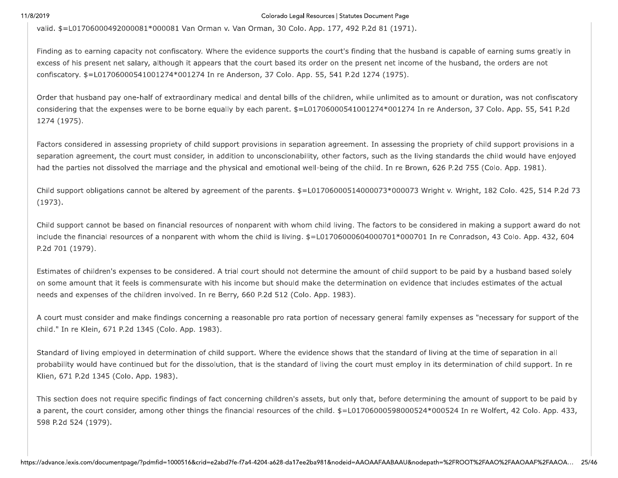11/8/2019<br>
valid.  $\$ =$ L01706<br>
Finding as to ea<br>
excess of his pr<br>
confiscatory.  $$ =$ Colorado Legal Resources |<br>
valid. \$=L01706000492000081\*000081 Van Orman v. Van Orman, 30 Colo. App. 177<br>
Finding as to earning capacity not confiscatory. Where the evidence supports the cour<br>
excess of his present net sal Colorado Legal Resources | Statutes<br>n v. Van Orman, 30 Colo. App. 177, 492<br>ere the evidence supports the court's find<br>s that the court based its order on the pr<br>re Anderson, 37 Colo. App. 55, 541 P.2d Colorado Legal Resources | Statutes Document Page<br>
In Orman, 30 Colo. App. 177, 492 P.2d 81 (197<br>
20 evidence supports the court's finding that the<br>
the court based its order on the present net incerson, 37 Colo. App. 55, o Legal Resources | Statutes Document Page<br>Colo. App. 177, 492 P.2d 81 (1971).<br>ppports the court's finding that the husband is cap<br>sed its order on the present net income of the hus<br>lo. App. 55, 541 P.2d 1274 (1975). Statutes Document Page<br>7, 492 P.2d 81 (1971).<br>1's finding that the husband is capab<br>the present net income of the husba<br>1 P.2d 1274 (1975).

magnetics and the magnetics of the magnetic state of the state of the state of the state of the state of the state of the state of the state of the state of the state of the state of the state of the state of the state of

a parent, the court<br>598 P.2d 524 (1979)<br>https://advance.lexis.com/doo a parent, the court co<br>598 P.2d 524 (1979).<br>https://advance.lexis.com/docum a parent, the court consider, among other t<br>598 P.2d 524 (1979).<br>https://advance.lexis.com/documentpage/?pdmfid=100051 the court consider, among other things the financial resoure<br>
524 (1979).<br>
exis.com/documentpage/?pdmfid=1000516&crid=e2abd7fe-f7a4-4204-a62 g other things the financial resources of the<br>id=1000516&crid=e2abd7fe-f7a4-4204-a628-da17ee: things the financial resources of the child<br>things the financial resources of the child<br>16&crid=e2abd7fe-f7a4-4204-a628-da17ee2ba981& the financial resources of the child. \$<br>e2abd7fe-f7a4-4204-a628-da17ee2ba981&nod  $\frac{1}{2}$  financial resources of the child.  $\frac{1}{2}$  = L<br>bd7fe-f7a4-4204-a628-da17ee2ba981&nodeid mancial resources of the child.  $$=$ L017060<br>The-f7a4-4204-a628-da17ee2ba981&nodeid=AAOA resources of the child. \$=L0170600<br>4204-a628-da17ee2ba981&nodeid=AAOAAF Esources of the child. \$=L01706000598000524\*000524 In re Wo<br>Besources of the child. \$=L01706000598000524\*000524 In re Wo<br>04-a628-da17ee2ba981&nodeid=AAOAAFAABAAU&nodepath=%2FROOT%2FAA 3000598000524\*000524 In re Wolfert, 42 Colo. App. 433,<br>3000598000524\*000524 In re Wolfert, 42 Colo. App. 433,<br>3085980408004040405258007%2FAA0%2FAA0AAF%2FAA0A... 25/46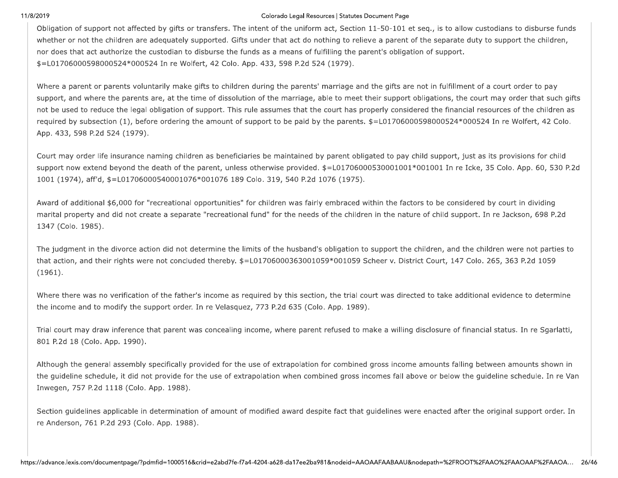### Colorado Legal Resources | Statutes Document Page

Obligation of support not affected by gifts or transfers. The intent of the uniform act, Section 11-50-101 et seq., is to allow custodians to disburse funds whether or not the children are adequately supported. Gifts under that act do nothing to relieve a parent of the separate duty to support the children, nor does that act authorize the custodian to disburse the funds as a means of fulfilling the parent's obligation of support. \$=L01706000598000524\*000524 In re Wolfert, 42 Colo. App. 433, 598 P.2d 524 (1979).

Where a parent or parents voluntarily make gifts to children during the parents' marriage and the gifts are not in fulfillment of a court order to pay support, and where the parents are, at the time of dissolution of the marriage, able to meet their support obligations, the court may order that such gifts not be used to reduce the legal obligation of support. This rule assumes that the court has properly considered the financial resources of the children as required by subsection (1), before ordering the amount of support to be paid by the parents. \$=L01706000598000524\*000524 In re Wolfert, 42 Colo. App. 433, 598 P.2d 524 (1979).

Court may order life insurance naming children as beneficiaries be maintained by parent obligated to pay child support, just as its provisions for child support now extend beyond the death of the parent, unless otherwise provided. \$=L01706000530001001\*001001 In re Icke, 35 Colo. App. 60, 530 P.2d 1001 (1974), aff'd, \$=L01706000540001076\*001076 189 Colo. 319, 540 P.2d 1076 (1975).

Award of additional \$6,000 for "recreational opportunities" for children was fairly embraced within the factors to be considered by court in dividing marital property and did not create a separate "recreational fund" for the needs of the children in the nature of child support. In re Jackson, 698 P.2d 1347 (Colo. 1985).

The judgment in the divorce action did not determine the limits of the husband's obligation to support the children, and the children were not parties to that action, and their rights were not concluded thereby. \$=L01706000363001059\*001059 Scheer v. District Court, 147 Colo. 265, 363 P.2d 1059  $(1961).$ 

Where there was no verification of the father's income as required by this section, the trial court was directed to take additional evidence to determine the income and to modify the support order. In re Velasquez, 773 P.2d 635 (Colo. App. 1989).

Trial court may draw inference that parent was concealing income, where parent refused to make a willing disclosure of financial status. In re Sgarlatti, 801 P.2d 18 (Colo. App. 1990).

Although the general assembly specifically provided for the use of extrapolation for combined gross income amounts falling between amounts shown in the guideline schedule, it did not provide for the use of extrapolation when combined gross incomes fall above or below the guideline schedule. In re Van Inwegen, 757 P.2d 1118 (Colo. App. 1988).

Section guidelines applicable in determination of amount of modified award despite fact that guidelines were enacted after the original support order. In re Anderson, 761 P.2d 293 (Colo. App. 1988).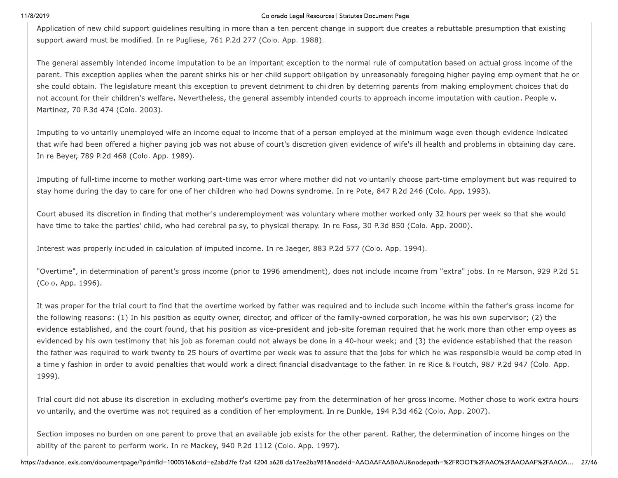### Colorado Legal Resources | Statutes Document Page

Application of new child support guidelines resulting in more than a ten percent change in support due creates a rebuttable presumption that existing support award must be modified. In re Pugliese, 761 P.2d 277 (Colo. App. 1988).

The general assembly intended income imputation to be an important exception to the normal rule of computation based on actual gross income of the parent. This exception applies when the parent shirks his or her child support obligation by unreasonably foregoing higher paying employment that he or she could obtain. The legislature meant this exception to prevent detriment to children by deterring parents from making employment choices that do not account for their children's welfare. Nevertheless, the general assembly intended courts to approach income imputation with caution. People v. Martinez, 70 P.3d 474 (Colo. 2003).

Imputing to voluntarily unemployed wife an income equal to income that of a person employed at the minimum wage even though evidence indicated that wife had been offered a higher paying job was not abuse of court's discretion given evidence of wife's ill health and problems in obtaining day care. In re Beyer, 789 P.2d 468 (Colo. App. 1989).

Imputing of full-time income to mother working part-time was error where mother did not voluntarily choose part-time employment but was required to stay home during the day to care for one of her children who had Downs syndrome. In re Pote, 847 P.2d 246 (Colo. App. 1993).

Court abused its discretion in finding that mother's underemployment was voluntary where mother worked only 32 hours per week so that she would have time to take the parties' child, who had cerebral palsy, to physical therapy. In re Foss, 30 P.3d 850 (Colo. App. 2000).

Interest was properly included in calculation of imputed income. In re Jaeger, 883 P.2d 577 (Colo. App. 1994).

"Overtime", in determination of parent's gross income (prior to 1996 amendment), does not include income from "extra" jobs. In re Marson, 929 P.2d 51 (Colo. App. 1996).

It was proper for the trial court to find that the overtime worked by father was required and to include such income within the father's gross income for the following reasons: (1) In his position as equity owner, director, and officer of the family-owned corporation, he was his own supervisor; (2) the evidence established, and the court found, that his position as vice-president and job-site foreman required that he work more than other employees as evidenced by his own testimony that his job as foreman could not always be done in a 40-hour week; and (3) the evidence established that the reason the father was required to work twenty to 25 hours of overtime per week was to assure that the jobs for which he was responsible would be completed in a timely fashion in order to avoid penalties that would work a direct financial disadvantage to the father. In re Rice & Foutch, 987 P.2d 947 (Colo. App. 1999).

Trial court did not abuse its discretion in excluding mother's overtime pay from the determination of her gross income. Mother chose to work extra hours voluntarily, and the overtime was not required as a condition of her employment. In re Dunkle, 194 P.3d 462 (Colo. App. 2007).

Section imposes no burden on one parent to prove that an available job exists for the other parent. Rather, the determination of income hinges on the ability of the parent to perform work. In re Mackey, 940 P.2d 1112 (Colo. App. 1997).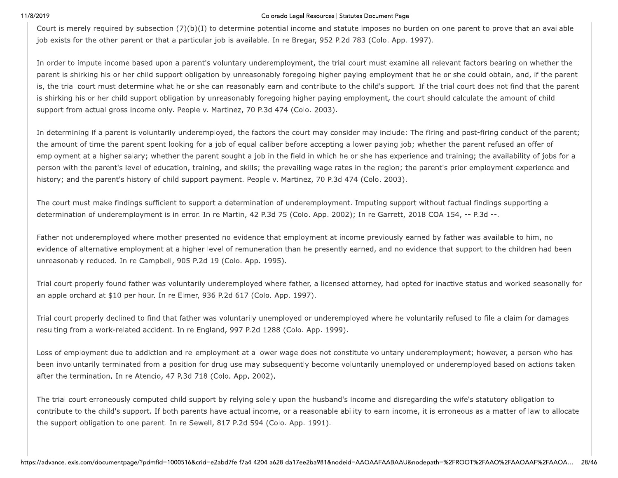### Colorado Legal Resources | Statutes Document Page

Court is merely required by subsection  $(7)(b)(I)$  to determine potential income and statute imposes no burden on one parent to prove that an available job exists for the other parent or that a particular job is available. In re Bregar, 952 P.2d 783 (Colo. App. 1997).

In order to impute income based upon a parent's voluntary underemployment, the trial court must examine all relevant factors bearing on whether the parent is shirking his or her child support obligation by unreasonably foregoing higher paying employment that he or she could obtain, and, if the parent is, the trial court must determine what he or she can reasonably earn and contribute to the child's support. If the trial court does not find that the parent is shirking his or her child support obligation by unreasonably foregoing higher paying employment, the court should calculate the amount of child support from actual gross income only. People v. Martinez, 70 P.3d 474 (Colo. 2003).

In determining if a parent is voluntarily underemployed, the factors the court may consider may include: The firing and post-firing conduct of the parent; the amount of time the parent spent looking for a job of equal caliber before accepting a lower paying job; whether the parent refused an offer of employment at a higher salary; whether the parent sought a job in the field in which he or she has experience and training; the availability of jobs for a person with the parent's level of education, training, and skills; the prevailing wage rates in the region; the parent's prior employment experience and history; and the parent's history of child support payment. People v. Martinez, 70 P.3d 474 (Colo. 2003).

The court must make findings sufficient to support a determination of underemployment. Imputing support without factual findings supporting a determination of underemployment is in error. In re Martin, 42 P.3d 75 (Colo. App. 2002); In re Garrett, 2018 COA 154, -- P.3d --.

Father not underemployed where mother presented no evidence that employment at income previously earned by father was available to him, no evidence of alternative employment at a higher level of remuneration than he presently earned, and no evidence that support to the children had been unreasonably reduced. In re Campbell, 905 P.2d 19 (Colo. App. 1995).

Trial court properly found father was voluntarily underemployed where father, a licensed attorney, had opted for inactive status and worked seasonally for an apple orchard at \$10 per hour. In re Elmer, 936 P.2d 617 (Colo. App. 1997).

Trial court properly declined to find that father was voluntarily unemployed or underemployed where he voluntarily refused to file a claim for damages resulting from a work-related accident. In re England, 997 P.2d 1288 (Colo. App. 1999).

Loss of employment due to addiction and re-employment at a lower wage does not constitute voluntary underemployment; however, a person who has been involuntarily terminated from a position for drug use may subsequently become voluntarily unemployed or underemployed based on actions taken after the termination. In re Atencio, 47 P.3d 718 (Colo. App. 2002).

The trial court erroneously computed child support by relying solely upon the husband's income and disregarding the wife's statutory obligation to contribute to the child's support. If both parents have actual income, or a reasonable ability to earn income, it is erroneous as a matter of law to allocate the support obligation to one parent. In re Sewell, 817 P.2d 594 (Colo. App. 1991).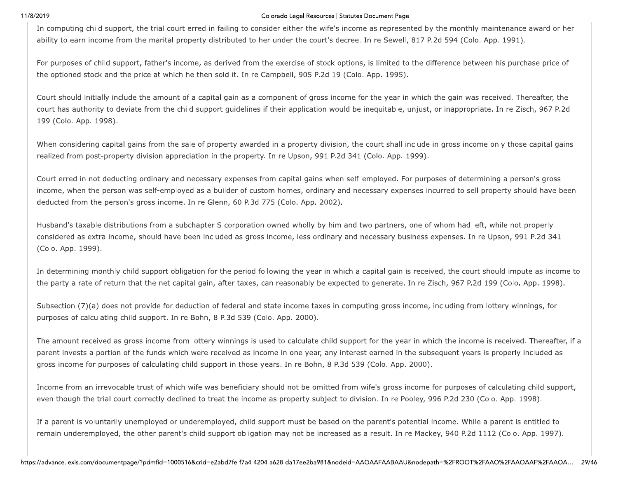### Colorado Legal Resources | Statutes Document Page

In computing child support, the trial court erred in failing to consider either the wife's income as represented by the monthly maintenance award or her ability to earn income from the marital property distributed to her under the court's decree. In re Sewell, 817 P.2d 594 (Colo. App. 1991).

For purposes of child support, father's income, as derived from the exercise of stock options, is limited to the difference between his purchase price of the optioned stock and the price at which he then sold it. In re Campbell, 905 P.2d 19 (Colo. App. 1995).

Court should initially include the amount of a capital gain as a component of gross income for the year in which the gain was received. Thereafter, the court has authority to deviate from the child support guidelines if their application would be inequitable, unjust, or inappropriate. In re Zisch, 967 P.2d 199 (Colo. App. 1998).

When considering capital gains from the sale of property awarded in a property division, the court shall include in gross income only those capital gains realized from post-property division appreciation in the property. In re Upson, 991 P.2d 341 (Colo. App. 1999).

Court erred in not deducting ordinary and necessary expenses from capital gains when self-employed. For purposes of determining a person's gross income, when the person was self-employed as a builder of custom homes, ordinary and necessary expenses incurred to sell property should have been deducted from the person's gross income. In re Glenn, 60 P.3d 775 (Colo. App. 2002).

Husband's taxable distributions from a subchapter S corporation owned wholly by him and two partners, one of whom had left, while not properly considered as extra income, should have been included as gross income, less ordinary and necessary business expenses. In re Upson, 991 P.2d 341 (Colo. App. 1999).

In determining monthly child support obligation for the period following the year in which a capital gain is received, the court should impute as income to the party a rate of return that the net capital gain, after taxes, can reasonably be expected to generate. In re Zisch, 967 P.2d 199 (Colo, App. 1998).

Subsection (7)(a) does not provide for deduction of federal and state income taxes in computing gross income, including from lottery winnings, for purposes of calculating child support. In re Bohn, 8 P.3d 539 (Colo. App. 2000).

The amount received as gross income from lottery winnings is used to calculate child support for the year in which the income is received. Thereafter, if a parent invests a portion of the funds which were received as income in one year, any interest earned in the subsequent years is properly included as gross income for purposes of calculating child support in those years. In re Bohn, 8 P.3d 539 (Colo. App. 2000).

Income from an irrevocable trust of which wife was beneficiary should not be omitted from wife's gross income for purposes of calculating child support, even though the trial court correctly declined to treat the income as property subject to division. In re Pooley, 996 P.2d 230 (Colo. App. 1998).

If a parent is voluntarily unemployed or underemployed, child support must be based on the parent's potential income. While a parent is entitled to remain underemployed, the other parent's child support obligation may not be increased as a result. In re Mackey, 940 P.2d 1112 (Colo. App. 1997).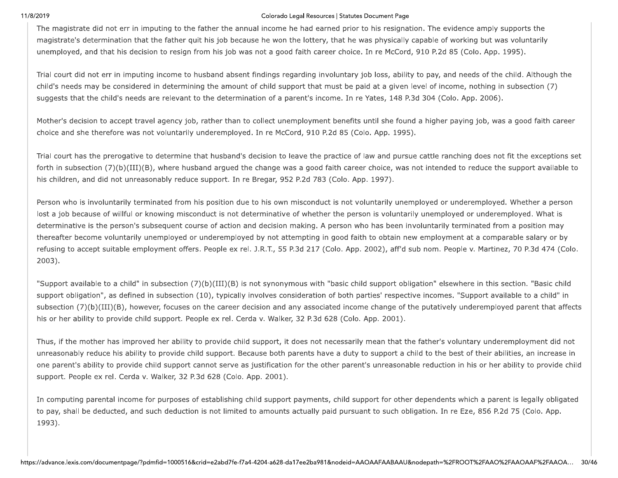11/8/2019<br>
The magistrate<br>
magistrate's det<br>
unemployed, an<br>
Trial court did n Colorado Legal Resources |<br>
The magistrate did not err in imputing to the father the annual income he had earned<br>
magistrate's determination that the father quit his job because he won the lottery, the<br>
unemployed, and tha Colorado Legal Resources | Statutes<br>
The annual income he had earned prior<br>
ijob because he won the lottery, that he v<br>
is job was not a good faith career choice.<br>
And absent findings regarding involuntary Colorado Legal Resources | Statutes Document Page<br>
nnual income he had earned prior to his resigna<br>
cause he won the lottery, that he was physically<br>
was not a good faith career choice. In re McCore<br>
ent findings regarding o Legal Resources | Statutes Document Page<br>! he had earned prior to his resignation. The evide<br>! the lottery, that he was physically capable of word<br>od faith career choice. In re McCord, 910 P.2d 85<br>egarding involuntary jo Statutes Document Page<br>prior to his resignation. The evidence<br>at he was physically capable of work<br>choice. In re McCord, 910 P.2d 85 (C<br>ntary job loss, ability to pay, and ne

mear.<br>
The register of each of the politic states have to since the most control commutes and the politics of the since of the since of the since of the since of the since of the since of the since of the since of the sinc

to pay, shall be dec<br>1993).<br>https://advance.lexis.com/doc to pay, shall be deduced 1993.<br>1993).<br>https://advance.lexis.com/docum to pay, shall be deducted, and such deduct<br>1993).<br>https://advance.lexis.com/documentpage/?pdmfid=1000516 exists om/document<br>page/?pdmfid=1000516&crid=e2abd7fe-f7a4-4204-a62  $(+)$ <br>h deduction is not limited to amounts actu<br>id=1000516&crid=e2abd7fe-f7a4-4204-a628-da17ee. - A community and orper proposed products<br>tion is not limited to amounts actually pai<br>16&crid=e2abd7fe-f7a4-4204-a628-da17ee2ba981& examples of the empty of payments, and<br>not limited to amounts actually paid p<br>e2abd7fe-f7a4-4204-a628-da17ee2ba981&nod limited to amounts actually paid pur<br>limited to amounts actually paid pur<br>bd7fe-f7a4-4204-a628-da17ee2ba981&nodeid http://www.aliku.com/www.aliku.com/www.aliku.com/www.aliku.com/www.aliku.com/www.aliku.com/www.aliku.com/www.aliku.com/www.aliku.com/www.aliku.com/www.aliku.com/www.aliku.com/www.aliku.com/www.aliku.com/www.aliku.com/www.a an experience paymently show experience<br>amounts actually paid pursuant to<br>4204-a628-da17ee2ba981&nodeid=AAOAAF, amounts actually paid pursuant to such obligation. In re Eze, 856<br>Amounts actually paid pursuant to such obligation. In re Eze, 856<br>04-a628-da17ee2ba981&nodeid=AAOAAFAABAAU&nodepath=%2FROOT%2FAA to such obligation. In re Eze, 856 P.2d 75 (Colo. App.<br>AAFAABAAU&nodepath=%2FROOT%2FAAO%2FAAOAAF%2FAAOA... 30/46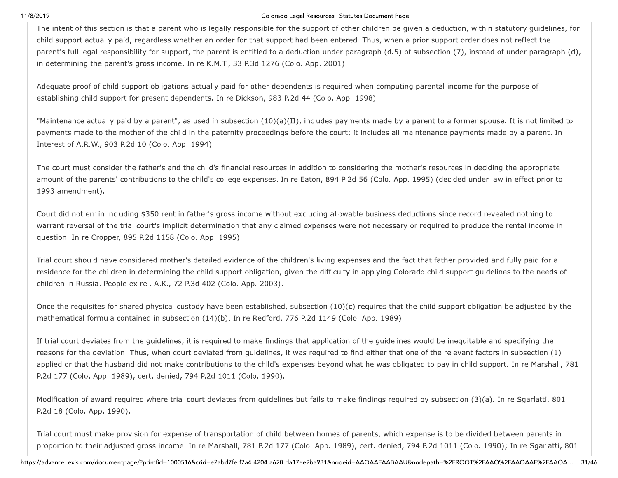### Colorado Legal Resources | Statutes Document Page

The intent of this section is that a parent who is legally responsible for the support of other children be given a deduction, within statutory guidelines, for child support actually paid, regardless whether an order for that support had been entered. Thus, when a prior support order does not reflect the parent's full legal responsibility for support, the parent is entitled to a deduction under paragraph (d.5) of subsection (7), instead of under paragraph (d), in determining the parent's gross income. In re K.M.T., 33 P.3d 1276 (Colo. App. 2001).

Adequate proof of child support obligations actually paid for other dependents is required when computing parental income for the purpose of establishing child support for present dependents. In re Dickson, 983 P.2d 44 (Colo. App. 1998).

"Maintenance actually paid by a parent", as used in subsection (10)(a)(II), includes payments made by a parent to a former spouse. It is not limited to payments made to the mother of the child in the paternity proceedings before the court; it includes all maintenance payments made by a parent. In Interest of A.R.W., 903 P.2d 10 (Colo. App. 1994).

The court must consider the father's and the child's financial resources in addition to considering the mother's resources in deciding the appropriate amount of the parents' contributions to the child's college expenses. In re Eaton, 894 P.2d 56 (Colo. App. 1995) (decided under law in effect prior to 1993 amendment).

Court did not err in including \$350 rent in father's gross income without excluding allowable business deductions since record revealed nothing to warrant reversal of the trial court's implicit determination that any claimed expenses were not necessary or required to produce the rental income in question. In re Cropper, 895 P.2d 1158 (Colo. App. 1995).

Trial court should have considered mother's detailed evidence of the children's living expenses and the fact that father provided and fully paid for a residence for the children in determining the child support obligation, given the difficulty in applying Colorado child support guidelines to the needs of children in Russia. People ex rel. A.K., 72 P.3d 402 (Colo. App. 2003).

Once the requisites for shared physical custody have been established, subsection  $(10)(c)$  requires that the child support obligation be adjusted by the mathematical formula contained in subsection (14)(b). In re Redford, 776 P.2d 1149 (Colo. App. 1989).

If trial court deviates from the guidelines, it is required to make findings that application of the guidelines would be inequitable and specifying the reasons for the deviation. Thus, when court deviated from guidelines, it was required to find either that one of the relevant factors in subsection (1) applied or that the husband did not make contributions to the child's expenses beyond what he was obligated to pay in child support. In re Marshall, 781 P.2d 177 (Colo. App. 1989), cert. denied, 794 P.2d 1011 (Colo. 1990).

Modification of award required where trial court deviates from guidelines but fails to make findings required by subsection (3)(a). In re Sgarlatti, 801 P.2d 18 (Colo. App. 1990).

Trial court must make provision for expense of transportation of child between homes of parents, which expense is to be divided between parents in proportion to their adjusted gross income. In re Marshall, 781 P.2d 177 (Colo. App. 1989), cert. denied, 794 P.2d 1011 (Colo. 1990); In re Sgarlatti, 801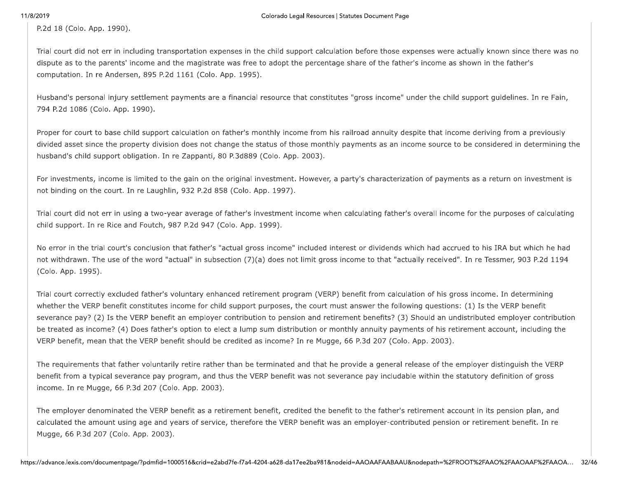P.2d 18 (Colo. App. 1990).

Trial court did not err in including transportation expenses in the child support calculation before those expenses were actually known since there was no dispute as to the parents' income and the magistrate was free to adopt the percentage share of the father's income as shown in the father's computation. In re Andersen, 895 P.2d 1161 (Colo. App. 1995).

Husband's personal injury settlement payments are a financial resource that constitutes "gross income" under the child support guidelines. In re Fain, 794 P.2d 1086 (Colo. App. 1990).

Proper for court to base child support calculation on father's monthly income from his railroad annuity despite that income deriving from a previously divided asset since the property division does not change the status of those monthly payments as an income source to be considered in determining the husband's child support obligation. In re Zappanti, 80 P.3d889 (Colo. App. 2003).

For investments, income is limited to the gain on the original investment. However, a party's characterization of payments as a return on investment is not binding on the court. In re Laughlin, 932 P.2d 858 (Colo. App. 1997).

Trial court did not err in using a two-year average of father's investment income when calculating father's overall income for the purposes of calculating child support. In re Rice and Foutch, 987 P.2d 947 (Colo. App. 1999).

No error in the trial court's conclusion that father's "actual gross income" included interest or dividends which had accrued to his IRA but which he had not withdrawn. The use of the word "actual" in subsection (7)(a) does not limit gross income to that "actually received". In re Tessmer, 903 P.2d 1194 (Colo. App. 1995).

Trial court correctly excluded father's voluntary enhanced retirement program (VERP) benefit from calculation of his gross income. In determining whether the VERP benefit constitutes income for child support purposes, the court must answer the following questions: (1) Is the VERP benefit severance pay? (2) Is the VERP benefit an employer contribution to pension and retirement benefits? (3) Should an undistributed employer contribution be treated as income? (4) Does father's option to elect a lump sum distribution or monthly annuity payments of his retirement account, including the VERP benefit, mean that the VERP benefit should be credited as income? In re Mugge, 66 P.3d 207 (Colo. App. 2003).

The requirements that father voluntarily retire rather than be terminated and that he provide a general release of the employer distinguish the VERP benefit from a typical severance pay program, and thus the VERP benefit was not severance pay includable within the statutory definition of gross income. In re Mugge, 66 P.3d 207 (Colo. App. 2003).

The employer denominated the VERP benefit as a retirement benefit, credited the benefit to the father's retirement account in its pension plan, and calculated the amount using age and years of service, therefore the VERP benefit was an employer-contributed pension or retirement benefit. In re Mugge, 66 P.3d 207 (Colo. App. 2003).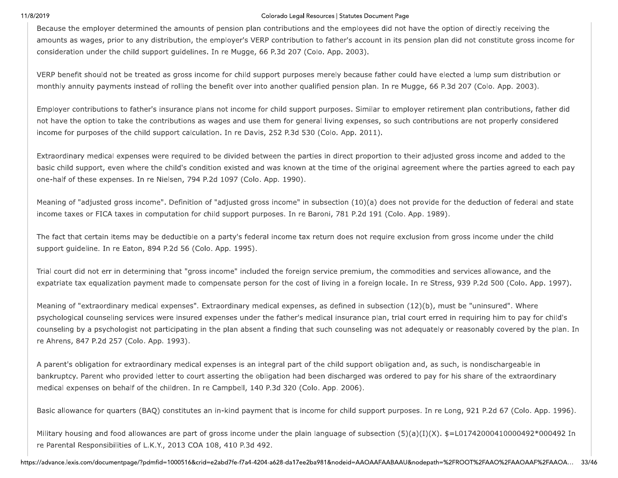### Colorado Legal Resources | Statutes Document Page

Because the employer determined the amounts of pension plan contributions and the employees did not have the option of directly receiving the amounts as wages, prior to any distribution, the employer's VERP contribution to father's account in its pension plan did not constitute gross income for consideration under the child support quidelines. In re Mugge, 66 P.3d 207 (Colo. App. 2003).

VERP benefit should not be treated as gross income for child support purposes merely because father could have elected a lump sum distribution or monthly annuity payments instead of rolling the benefit over into another qualified pension plan. In re Mugge, 66 P.3d 207 (Colo. App. 2003).

Employer contributions to father's insurance plans not income for child support purposes. Similar to employer retirement plan contributions, father did not have the option to take the contributions as wages and use them for general living expenses, so such contributions are not properly considered income for purposes of the child support calculation. In re Davis, 252 P.3d 530 (Colo. App. 2011).

Extraordinary medical expenses were required to be divided between the parties in direct proportion to their adjusted gross income and added to the basic child support, even where the child's condition existed and was known at the time of the original agreement where the parties agreed to each pay one-half of these expenses. In re Nielsen, 794 P.2d 1097 (Colo. App. 1990).

Meaning of "adjusted gross income". Definition of "adjusted gross income" in subsection (10)(a) does not provide for the deduction of federal and state income taxes or FICA taxes in computation for child support purposes. In re Baroni, 781 P.2d 191 (Colo. App. 1989).

The fact that certain items may be deductible on a party's federal income tax return does not require exclusion from gross income under the child support guideline. In re Eaton, 894 P.2d 56 (Colo. App. 1995).

Trial court did not err in determining that "gross income" included the foreign service premium, the commodities and services allowance, and the expatriate tax equalization payment made to compensate person for the cost of living in a foreign locale. In re Stress, 939 P.2d 500 (Colo, App. 1997).

Meaning of "extraordinary medical expenses". Extraordinary medical expenses, as defined in subsection (12)(b), must be "uninsured". Where psychological counseling services were insured expenses under the father's medical insurance plan, trial court erred in requiring him to pay for child's counseling by a psychologist not participating in the plan absent a finding that such counseling was not adequately or reasonably covered by the plan. In re Ahrens, 847 P.2d 257 (Colo. App. 1993).

A parent's obligation for extraordinary medical expenses is an integral part of the child support obligation and, as such, is nondischargeable in bankruptcy. Parent who provided letter to court asserting the obligation had been discharged was ordered to pay for his share of the extraordinary medical expenses on behalf of the children. In re Campbell, 140 P.3d 320 (Colo. App. 2006).

Basic allowance for quarters (BAQ) constitutes an in-kind payment that is income for child support purposes. In re Long, 921 P.2d 67 (Colo. App. 1996).

Military housing and food allowances are part of gross income under the plain language of subsection  $(5)(a)(I)(X)$ . \$=L01742000410000492\*000492 In re Parental Responsibilities of L.K.Y., 2013 COA 108, 410 P.3d 492.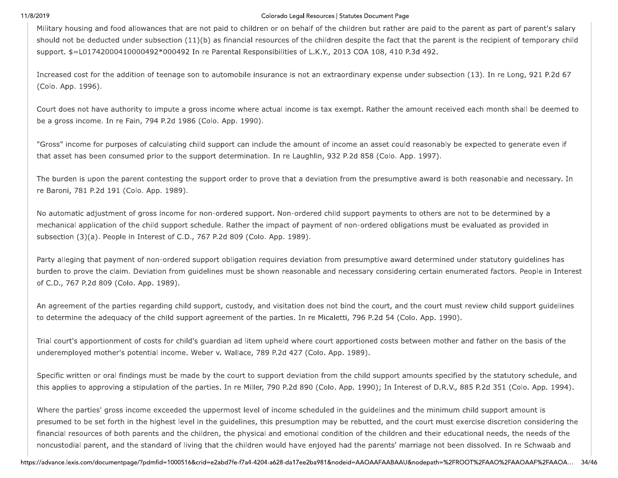### Colorado Legal Resources | Statutes Document Page

Military housing and food allowances that are not paid to children or on behalf of the children but rather are paid to the parent as part of parent's salary should not be deducted under subsection (11)(b) as financial resources of the children despite the fact that the parent is the recipient of temporary child support. \$=L01742000410000492\*000492 In re Parental Responsibilities of L.K.Y., 2013 COA 108, 410 P.3d 492.

Increased cost for the addition of teenage son to automobile insurance is not an extraordinary expense under subsection (13). In re Long, 921 P.2d 67 (Colo. App. 1996).

Court does not have authority to impute a gross income where actual income is tax exempt. Rather the amount received each month shall be deemed to be a gross income. In re Fain, 794 P.2d 1986 (Colo. App. 1990).

"Gross" income for purposes of calculating child support can include the amount of income an asset could reasonably be expected to generate even if that asset has been consumed prior to the support determination. In re Laughlin, 932 P.2d 858 (Colo. App. 1997).

The burden is upon the parent contesting the support order to prove that a deviation from the presumptive award is both reasonable and necessary. In re Baroni, 781 P.2d 191 (Colo. App. 1989).

No automatic adjustment of gross income for non-ordered support. Non-ordered child support payments to others are not to be determined by a mechanical application of the child support schedule. Rather the impact of payment of non-ordered obligations must be evaluated as provided in subsection (3)(a). People in Interest of C.D., 767 P.2d 809 (Colo. App. 1989).

Party alleging that payment of non-ordered support obligation requires deviation from presumptive award determined under statutory guidelines has burden to prove the claim. Deviation from guidelines must be shown reasonable and necessary considering certain enumerated factors. People in Interest of C.D., 767 P.2d 809 (Colo. App. 1989).

An agreement of the parties regarding child support, custody, and visitation does not bind the court, and the court must review child support guidelines to determine the adequacy of the child support agreement of the parties. In re Micaletti, 796 P.2d 54 (Colo. App. 1990).

Trial court's apportionment of costs for child's guardian ad litem upheld where court apportioned costs between mother and father on the basis of the underemployed mother's potential income. Weber v. Wallace, 789 P.2d 427 (Colo. App. 1989).

Specific written or oral findings must be made by the court to support deviation from the child support amounts specified by the statutory schedule, and this applies to approving a stipulation of the parties. In re Miller, 790 P.2d 890 (Colo. App. 1990); In Interest of D.R.V., 885 P.2d 351 (Colo. App. 1994).

Where the parties' gross income exceeded the uppermost level of income scheduled in the guidelines and the minimum child support amount is presumed to be set forth in the highest level in the guidelines, this presumption may be rebutted, and the court must exercise discretion considering the financial resources of both parents and the children, the physical and emotional condition of the children and their educational needs, the needs of the noncustodial parent, and the standard of living that the children would have enjoyed had the parents' marriage not been dissolved. In re Schwaab and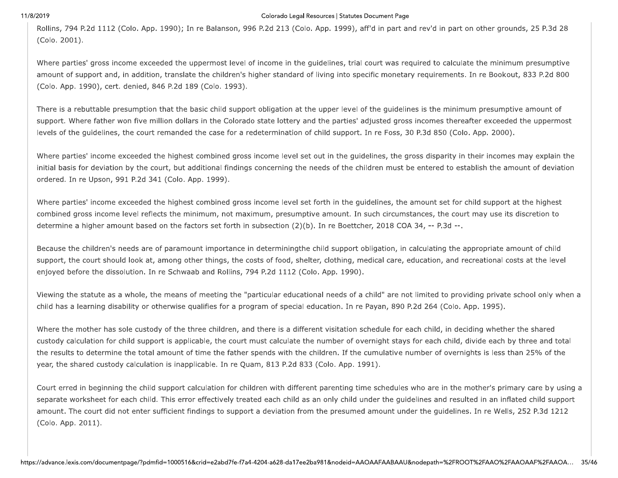### Colorado Legal Resources | Statutes Document Page

Rollins, 794 P.2d 1112 (Colo. App. 1990); In re Balanson, 996 P.2d 213 (Colo. App. 1999), aff'd in part and rev'd in part on other grounds, 25 P.3d 28 (Colo. 2001).

Where parties' gross income exceeded the uppermost level of income in the guidelines, trial court was required to calculate the minimum presumptive amount of support and, in addition, translate the children's higher standard of living into specific monetary requirements. In re Bookout, 833 P.2d 800 (Colo. App. 1990), cert. denied, 846 P.2d 189 (Colo. 1993).

There is a rebuttable presumption that the basic child support obligation at the upper level of the guidelines is the minimum presumptive amount of support. Where father won five million dollars in the Colorado state lottery and the parties' adjusted gross incomes thereafter exceeded the uppermost levels of the guidelines, the court remanded the case for a redetermination of child support. In re Foss, 30 P.3d 850 (Colo. App. 2000).

Where parties' income exceeded the highest combined gross income level set out in the guidelines, the gross disparity in their incomes may explain the initial basis for deviation by the court, but additional findings concerning the needs of the children must be entered to establish the amount of deviation ordered. In re Upson, 991 P.2d 341 (Colo. App. 1999).

Where parties' income exceeded the highest combined gross income level set forth in the guidelines, the amount set for child support at the highest combined gross income level reflects the minimum, not maximum, presumptive amount. In such circumstances, the court may use its discretion to determine a higher amount based on the factors set forth in subsection (2)(b). In re Boettcher, 2018 COA 34, -- P.3d --.

Because the children's needs are of paramount importance in determiningthe child support obligation, in calculating the appropriate amount of child support, the court should look at, among other things, the costs of food, shelter, clothing, medical care, education, and recreational costs at the level enjoyed before the dissolution. In re Schwaab and Rollins, 794 P.2d 1112 (Colo. App. 1990).

Viewing the statute as a whole, the means of meeting the "particular educational needs of a child" are not limited to providing private school only when a child has a learning disability or otherwise qualifies for a program of special education. In re Payan, 890 P.2d 264 (Colo. App. 1995).

Where the mother has sole custody of the three children, and there is a different visitation schedule for each child, in deciding whether the shared custody calculation for child support is applicable, the court must calculate the number of overnight stays for each child, divide each by three and total the results to determine the total amount of time the father spends with the children. If the cumulative number of overnights is less than 25% of the year, the shared custody calculation is inapplicable. In re Quam, 813 P.2d 833 (Colo. App. 1991).

Court erred in beginning the child support calculation for children with different parenting time schedules who are in the mother's primary care by using a separate worksheet for each child. This error effectively treated each child as an only child under the guidelines and resulted in an inflated child support amount. The court did not enter sufficient findings to support a deviation from the presumed amount under the guidelines. In re Wells, 252 P.3d 1212 (Colo. App. 2011).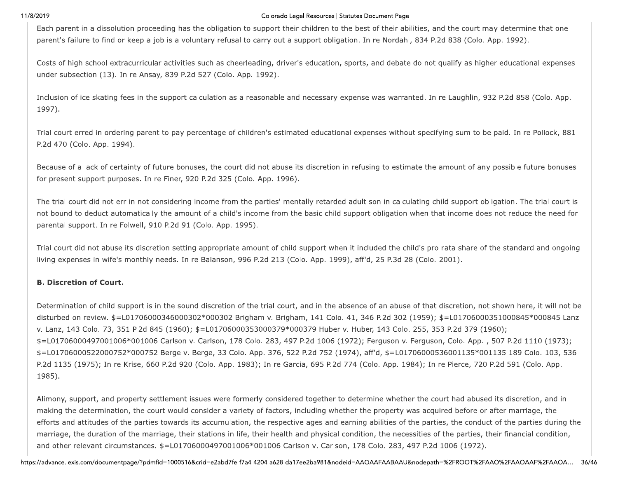### Colorado Legal Resources | Statutes Document Page

Each parent in a dissolution proceeding has the obligation to support their children to the best of their abilities, and the court may determine that one parent's failure to find or keep a job is a voluntary refusal to carry out a support obligation. In re Nordahl, 834 P.2d 838 (Colo. App. 1992).

Costs of high school extracurricular activities such as cheerleading, driver's education, sports, and debate do not qualify as higher educational expenses under subsection (13). In re Ansay, 839 P.2d 527 (Colo. App. 1992).

Inclusion of ice skating fees in the support calculation as a reasonable and necessary expense was warranted. In re Laughlin, 932 P.2d 858 (Colo. App. 1997).

Trial court erred in ordering parent to pay percentage of children's estimated educational expenses without specifying sum to be paid. In re Pollock, 881 P.2d 470 (Colo. App. 1994).

Because of a lack of certainty of future bonuses, the court did not abuse its discretion in refusing to estimate the amount of any possible future bonuses for present support purposes. In re Finer, 920 P.2d 325 (Colo. App. 1996).

The trial court did not err in not considering income from the parties' mentally retarded adult son in calculating child support obligation. The trial court is not bound to deduct automatically the amount of a child's income from the basic child support obligation when that income does not reduce the need for parental support. In re Folwell, 910 P.2d 91 (Colo. App. 1995).

Trial court did not abuse its discretion setting appropriate amount of child support when it included the child's pro rata share of the standard and ongoing living expenses in wife's monthly needs. In re Balanson, 996 P.2d 213 (Colo. App. 1999), aff'd, 25 P.3d 28 (Colo. 2001).

## **B. Discretion of Court.**

Determination of child support is in the sound discretion of the trial court, and in the absence of an abuse of that discretion, not shown here, it will not be disturbed on review. \$=L01706000346000302\*000302 Brigham v. Brigham, 141 Colo. 41, 346 P.2d 302 (1959); \$=L01706000351000845\*000845 Lanz v. Lanz, 143 Colo. 73, 351 P.2d 845 (1960); \$=L01706000353000379\*000379 Huber v. Huber, 143 Colo. 255, 353 P.2d 379 (1960); \$=L01706000497001006\*001006 Carlson v. Carlson, 178 Colo. 283, 497 P.2d 1006 (1972); Ferguson v. Ferguson, Colo. App., 507 P.2d 1110 (1973); \$=L01706000522000752\*000752 Berge v. Berge, 33 Colo. App. 376, 522 P.2d 752 (1974), aff'd, \$=L01706000536001135\*001135 189 Colo. 103, 536 P.2d 1135 (1975); In re Krise, 660 P.2d 920 (Colo. App. 1983); In re Garcia, 695 P.2d 774 (Colo. App. 1984); In re Pierce, 720 P.2d 591 (Colo. App. 1985).

Alimony, support, and property settlement issues were formerly considered together to determine whether the court had abused its discretion, and in making the determination, the court would consider a variety of factors, including whether the property was acquired before or after marriage, the efforts and attitudes of the parties towards its accumulation, the respective ages and earning abilities of the parties, the conduct of the parties during the marriage, the duration of the marriage, their stations in life, their health and physical condition, the necessities of the parties, their financial condition, and other relevant circumstances. \$=L01706000497001006\*001006 Carlson v. Carlson, 178 Colo. 283, 497 P.2d 1006 (1972).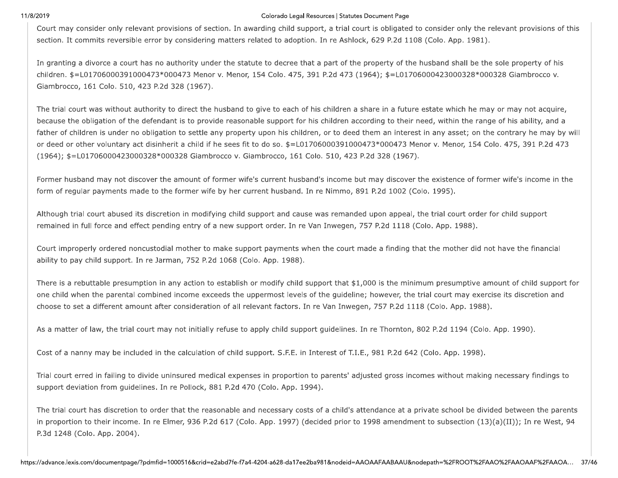### Colorado Legal Resources | Statutes Document Page

Court may consider only relevant provisions of section. In awarding child support, a trial court is obligated to consider only the relevant provisions of this section. It commits reversible error by considering matters related to adoption. In re Ashlock, 629 P.2d 1108 (Colo. App. 1981).

In granting a divorce a court has no authority under the statute to decree that a part of the property of the husband shall be the sole property of his children. \$=L01706000391000473\*000473 Menor v. Menor, 154 Colo. 475, 391 P.2d 473 (1964); \$=L01706000423000328\*000328 Giambrocco v. Giambrocco, 161 Colo. 510, 423 P.2d 328 (1967).

The trial court was without authority to direct the husband to give to each of his children a share in a future estate which he may or may not acquire, because the obligation of the defendant is to provide reasonable support for his children according to their need, within the range of his ability, and a father of children is under no obligation to settle any property upon his children, or to deed them an interest in any asset; on the contrary he may by will or deed or other voluntary act disinherit a child if he sees fit to do so. \$=L01706000391000473\*000473 Menor v. Menor, 154 Colo. 475, 391 P.2d 473 (1964); \$=L01706000423000328\*000328 Giambrocco v. Giambrocco, 161 Colo. 510, 423 P.2d 328 (1967).

Former husband may not discover the amount of former wife's current husband's income but may discover the existence of former wife's income in the form of regular payments made to the former wife by her current husband. In re Nimmo, 891 P.2d 1002 (Colo. 1995).

Although trial court abused its discretion in modifying child support and cause was remanded upon appeal, the trial court order for child support remained in full force and effect pending entry of a new support order. In re Van Inwegen, 757 P.2d 1118 (Colo, App. 1988).

Court improperly ordered noncustodial mother to make support payments when the court made a finding that the mother did not have the financial ability to pay child support. In re Jarman, 752 P.2d 1068 (Colo. App. 1988).

There is a rebuttable presumption in any action to establish or modify child support that \$1,000 is the minimum presumptive amount of child support for one child when the parental combined income exceeds the uppermost levels of the guideline; however, the trial court may exercise its discretion and choose to set a different amount after consideration of all relevant factors. In re Van Inwegen, 757 P.2d 1118 (Colo. App. 1988).

As a matter of law, the trial court may not initially refuse to apply child support guidelines. In re Thornton, 802 P.2d 1194 (Colo. App. 1990).

Cost of a nanny may be included in the calculation of child support. S.F.E. in Interest of T.I.E., 981 P.2d 642 (Colo. App. 1998).

Trial court erred in failing to divide uninsured medical expenses in proportion to parents' adjusted gross incomes without making necessary findings to support deviation from guidelines. In re Pollock, 881 P.2d 470 (Colo. App. 1994).

The trial court has discretion to order that the reasonable and necessary costs of a child's attendance at a private school be divided between the parents in proportion to their income. In re Elmer, 936 P.2d 617 (Colo. App. 1997) (decided prior to 1998 amendment to subsection  $(13)(a)(II)$ ); In re West, 94 P.3d 1248 (Colo. App. 2004).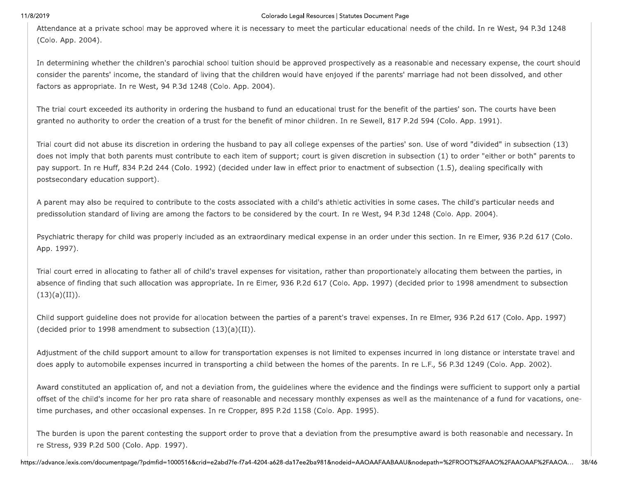### Colorado Legal Resources | Statutes Document Page

Attendance at a private school may be approved where it is necessary to meet the particular educational needs of the child. In re West, 94 P.3d 1248 (Colo. App. 2004).

In determining whether the children's parochial school tuition should be approved prospectively as a reasonable and necessary expense, the court should consider the parents' income, the standard of living that the children would have enjoyed if the parents' marriage had not been dissolved, and other factors as appropriate. In re West, 94 P.3d 1248 (Colo. App. 2004).

The trial court exceeded its authority in ordering the husband to fund an educational trust for the benefit of the parties' son. The courts have been granted no authority to order the creation of a trust for the benefit of minor children. In re Sewell, 817 P.2d 594 (Colo. App. 1991).

Trial court did not abuse its discretion in ordering the husband to pay all college expenses of the parties' son. Use of word "divided" in subsection (13) does not imply that both parents must contribute to each item of support; court is given discretion in subsection (1) to order "either or both" parents to pay support. In re Huff, 834 P.2d 244 (Colo. 1992) (decided under law in effect prior to enactment of subsection (1.5), dealing specifically with postsecondary education support).

A parent may also be required to contribute to the costs associated with a child's athletic activities in some cases. The child's particular needs and predissolution standard of living are among the factors to be considered by the court. In re West, 94 P.3d 1248 (Colo. App. 2004).

Psychiatric therapy for child was properly included as an extraordinary medical expense in an order under this section. In re Elmer, 936 P.2d 617 (Colo. App. 1997).

Trial court erred in allocating to father all of child's travel expenses for visitation, rather than proportionately allocating them between the parties, in absence of finding that such allocation was appropriate. In re Elmer, 936 P.2d 617 (Colo. App. 1997) (decided prior to 1998 amendment to subsection  $(13)(a)(II)).$ 

Child support guideline does not provide for allocation between the parties of a parent's travel expenses. In re Elmer, 936 P.2d 617 (Colo. App. 1997) (decided prior to 1998 amendment to subsection  $(13)(a)(II)$ ).

Adjustment of the child support amount to allow for transportation expenses is not limited to expenses incurred in long distance or interstate travel and does apply to automobile expenses incurred in transporting a child between the homes of the parents. In re L.F., 56 P.3d 1249 (Colo. App. 2002).

Award constituted an application of, and not a deviation from, the guidelines where the evidence and the findings were sufficient to support only a partial offset of the child's income for her pro rata share of reasonable and necessary monthly expenses as well as the maintenance of a fund for vacations, onetime purchases, and other occasional expenses. In re Cropper, 895 P.2d 1158 (Colo. App. 1995).

The burden is upon the parent contesting the support order to prove that a deviation from the presumptive award is both reasonable and necessary. In re Stress, 939 P.2d 500 (Colo. App. 1997).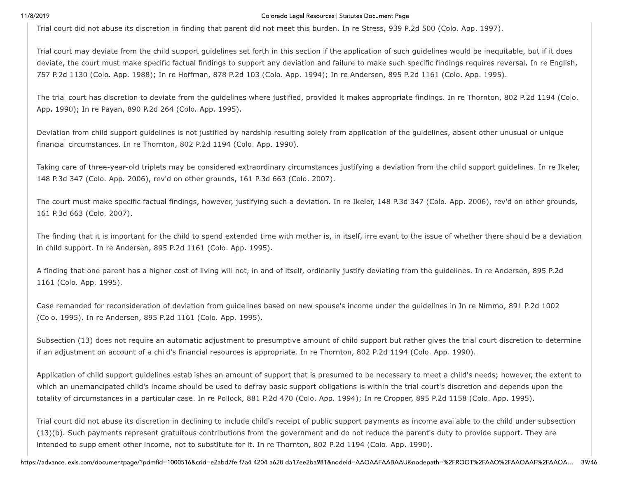### Colorado Legal Resources | Statutes Document Page

Trial court did not abuse its discretion in finding that parent did not meet this burden. In re Stress, 939 P.2d 500 (Colo. App. 1997).

Trial court may deviate from the child support guidelines set forth in this section if the application of such guidelines would be inequitable, but if it does deviate, the court must make specific factual findings to support any deviation and failure to make such specific findings requires reversal. In re English, 757 P.2d 1130 (Colo. App. 1988); In re Hoffman, 878 P.2d 103 (Colo. App. 1994); In re Andersen, 895 P.2d 1161 (Colo. App. 1995).

The trial court has discretion to deviate from the guidelines where justified, provided it makes appropriate findings. In re Thornton, 802 P.2d 1194 (Colo. App. 1990); In re Payan, 890 P.2d 264 (Colo. App. 1995).

Deviation from child support guidelines is not justified by hardship resulting solely from application of the guidelines, absent other unusual or unique financial circumstances. In re Thornton, 802 P.2d 1194 (Colo. App. 1990).

Taking care of three-year-old triplets may be considered extraordinary circumstances justifying a deviation from the child support guidelines. In re Ikeler, 148 P.3d 347 (Colo. App. 2006), rev'd on other grounds, 161 P.3d 663 (Colo. 2007).

The court must make specific factual findings, however, justifying such a deviation. In re Ikeler, 148 P.3d 347 (Colo. App. 2006), rev'd on other grounds, 161 P.3d 663 (Colo. 2007).

The finding that it is important for the child to spend extended time with mother is, in itself, irrelevant to the issue of whether there should be a deviation in child support. In re Andersen, 895 P.2d 1161 (Colo. App. 1995).

A finding that one parent has a higher cost of living will not, in and of itself, ordinarily justify deviating from the guidelines. In re Andersen, 895 P.2d 1161 (Colo. App. 1995).

Case remanded for reconsideration of deviation from guidelines based on new spouse's income under the guidelines in In re Nimmo, 891 P.2d 1002 (Colo. 1995). In re Andersen, 895 P.2d 1161 (Colo. App. 1995).

Subsection (13) does not require an automatic adjustment to presumptive amount of child support but rather gives the trial court discretion to determine if an adjustment on account of a child's financial resources is appropriate. In re Thornton, 802 P.2d 1194 (Colo. App. 1990).

Application of child support guidelines establishes an amount of support that is presumed to be necessary to meet a child's needs; however, the extent to which an unemancipated child's income should be used to defray basic support obligations is within the trial court's discretion and depends upon the totality of circumstances in a particular case. In re Pollock, 881 P.2d 470 (Colo. App. 1994); In re Cropper, 895 P.2d 1158 (Colo. App. 1995).

Trial court did not abuse its discretion in declining to include child's receipt of public support payments as income available to the child under subsection (13)(b). Such payments represent gratuitous contributions from the government and do not reduce the parent's duty to provide support. They are intended to supplement other income, not to substitute for it. In re Thornton, 802 P.2d 1194 (Colo. App. 1990).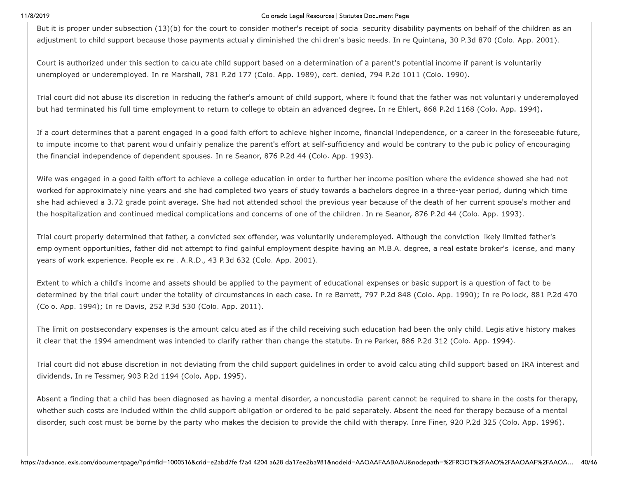### Colorado Legal Resources | Statutes Document Page

But it is proper under subsection (13)(b) for the court to consider mother's receipt of social security disability payments on behalf of the children as an adjustment to child support because those payments actually diminished the children's basic needs. In re Quintana, 30 P.3d 870 (Colo. App. 2001).

Court is authorized under this section to calculate child support based on a determination of a parent's potential income if parent is voluntarily unemployed or underemployed. In re Marshall, 781 P.2d 177 (Colo. App. 1989), cert. denied, 794 P.2d 1011 (Colo. 1990).

Trial court did not abuse its discretion in reducing the father's amount of child support, where it found that the father was not voluntarily underemployed but had terminated his full time employment to return to college to obtain an advanced degree. In re Ehlert, 868 P.2d 1168 (Colo. App. 1994).

If a court determines that a parent engaged in a good faith effort to achieve higher income, financial independence, or a career in the foreseeable future, to impute income to that parent would unfairly penalize the parent's effort at self-sufficiency and would be contrary to the public policy of encouraging the financial independence of dependent spouses. In re Seanor, 876 P.2d 44 (Colo. App. 1993).

Wife was engaged in a good faith effort to achieve a college education in order to further her income position where the evidence showed she had not worked for approximately nine years and she had completed two years of study towards a bachelors degree in a three-year period, during which time she had achieved a 3.72 grade point average. She had not attended school the previous year because of the death of her current spouse's mother and the hospitalization and continued medical complications and concerns of one of the children. In re Seanor, 876 P.2d 44 (Colo. App. 1993).

Trial court properly determined that father, a convicted sex offender, was voluntarily underemployed. Although the conviction likely limited father's employment opportunities, father did not attempt to find gainful employment despite having an M.B.A. degree, a real estate broker's license, and many years of work experience. People ex rel. A.R.D., 43 P.3d 632 (Colo. App. 2001).

Extent to which a child's income and assets should be applied to the payment of educational expenses or basic support is a question of fact to be determined by the trial court under the totality of circumstances in each case. In re Barrett, 797 P.2d 848 (Colo. App. 1990); In re Pollock, 881 P.2d 470 (Colo. App. 1994); In re Davis, 252 P.3d 530 (Colo. App. 2011).

The limit on postsecondary expenses is the amount calculated as if the child receiving such education had been the only child. Legislative history makes it clear that the 1994 amendment was intended to clarify rather than change the statute. In re Parker, 886 P.2d 312 (Colo. App. 1994).

Trial court did not abuse discretion in not deviating from the child support guidelines in order to avoid calculating child support based on IRA interest and dividends. In re Tessmer, 903 P.2d 1194 (Colo. App. 1995).

Absent a finding that a child has been diagnosed as having a mental disorder, a noncustodial parent cannot be required to share in the costs for therapy, whether such costs are included within the child support obligation or ordered to be paid separately. Absent the need for therapy because of a mental disorder, such cost must be borne by the party who makes the decision to provide the child with therapy. Inre Finer, 920 P.2d 325 (Colo. App. 1996).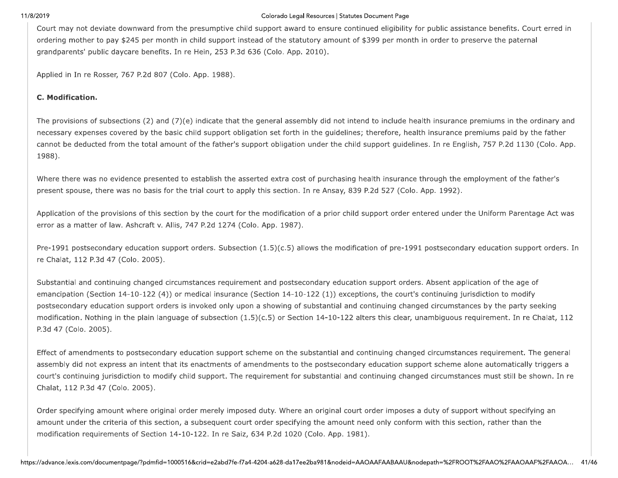### Colorado Legal Resources | Statutes Document Page

Court may not deviate downward from the presumptive child support award to ensure continued eligibility for public assistance benefits. Court erred in ordering mother to pay \$245 per month in child support instead of the statutory amount of \$399 per month in order to preserve the paternal grandparents' public daycare benefits. In re Hein, 253 P.3d 636 (Colo. App. 2010).

Applied in In re Rosser, 767 P.2d 807 (Colo. App. 1988).

## C. Modification.

The provisions of subsections (2) and (7)(e) indicate that the general assembly did not intend to include health insurance premiums in the ordinary and necessary expenses covered by the basic child support obligation set forth in the guidelines; therefore, health insurance premiums paid by the father cannot be deducted from the total amount of the father's support obligation under the child support guidelines. In re English, 757 P.2d 1130 (Colo. App. 1988).

Where there was no evidence presented to establish the asserted extra cost of purchasing health insurance through the employment of the father's present spouse, there was no basis for the trial court to apply this section. In re Ansay, 839 P.2d 527 (Colo. App. 1992).

Application of the provisions of this section by the court for the modification of a prior child support order entered under the Uniform Parentage Act was error as a matter of law. Ashcraft v. Allis, 747 P.2d 1274 (Colo. App. 1987).

Pre-1991 postsecondary education support orders. Subsection (1.5)(c.5) allows the modification of pre-1991 postsecondary education support orders. In re Chalat, 112 P.3d 47 (Colo. 2005).

Substantial and continuing changed circumstances requirement and postsecondary education support orders. Absent application of the age of emancipation (Section 14-10-122 (4)) or medical insurance (Section  $14$ -10-122 (1)) exceptions, the court's continuing jurisdiction to modify postsecondary education support orders is invoked only upon a showing of substantial and continuing changed circumstances by the party seeking modification. Nothing in the plain language of subsection (1.5)(c.5) or Section 14-10-122 alters this clear, unambiguous requirement. In re Chalat, 112 P.3d 47 (Colo. 2005).

Effect of amendments to postsecondary education support scheme on the substantial and continuing changed circumstances requirement. The general assembly did not express an intent that its enactments of amendments to the postsecondary education support scheme alone automatically triggers a court's continuing jurisdiction to modify child support. The requirement for substantial and continuing changed circumstances must still be shown. In re Chalat, 112 P.3d 47 (Colo. 2005).

Order specifying amount where original order merely imposed duty. Where an original court order imposes a duty of support without specifying an amount under the criteria of this section, a subsequent court order specifying the amount need only conform with this section, rather than the modification requirements of Section 14-10-122. In re Saiz, 634 P.2d 1020 (Colo. App. 1981).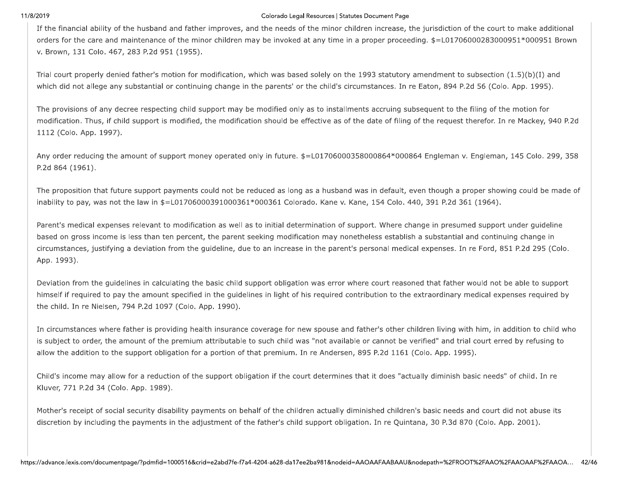### Colorado Legal Resources | Statutes Document Page

If the financial ability of the husband and father improves, and the needs of the minor children increase, the jurisdiction of the court to make additional orders for the care and maintenance of the minor children may be invoked at any time in a proper proceeding. \$=L01706000283000951\*000951 Brown v. Brown, 131 Colo. 467, 283 P.2d 951 (1955).

Trial court properly denied father's motion for modification, which was based solely on the 1993 statutory amendment to subsection (1.5)(b)(I) and which did not allege any substantial or continuing change in the parents' or the child's circumstances. In re Eaton, 894 P.2d 56 (Colo. App. 1995).

The provisions of any decree respecting child support may be modified only as to installments accruing subsequent to the filing of the motion for modification. Thus, if child support is modified, the modification should be effective as of the date of filing of the request therefor. In re Mackey, 940 P.2d 1112 (Colo. App. 1997).

Any order reducing the amount of support money operated only in future. \$=L01706000358000864\*000864 Engleman v. Engleman, 145 Colo. 299, 358 P.2d 864 (1961).

The proposition that future support payments could not be reduced as long as a husband was in default, even though a proper showing could be made of inability to pay, was not the law in \$=L01706000391000361\*000361 Colorado. Kane v. Kane, 154 Colo. 440, 391 P.2d 361 (1964).

Parent's medical expenses relevant to modification as well as to initial determination of support. Where change in presumed support under guideline based on gross income is less than ten percent, the parent seeking modification may nonetheless establish a substantial and continuing change in circumstances, justifying a deviation from the guideline, due to an increase in the parent's personal medical expenses. In re Ford, 851 P.2d 295 (Colo. App. 1993).

Deviation from the guidelines in calculating the basic child support obligation was error where court reasoned that father would not be able to support himself if required to pay the amount specified in the guidelines in light of his required contribution to the extraordinary medical expenses required by the child. In re Nielsen, 794 P.2d 1097 (Colo. App. 1990).

In circumstances where father is providing health insurance coverage for new spouse and father's other children living with him, in addition to child who is subject to order, the amount of the premium attributable to such child was "not available or cannot be verified" and trial court erred by refusing to allow the addition to the support obligation for a portion of that premium. In re Andersen, 895 P.2d 1161 (Colo. App. 1995).

Child's income may allow for a reduction of the support obligation if the court determines that it does "actually diminish basic needs" of child. In re Kluver, 771 P.2d 34 (Colo. App. 1989).

Mother's receipt of social security disability payments on behalf of the children actually diminished children's basic needs and court did not abuse its discretion by including the payments in the adjustment of the father's child support obligation. In re Quintana, 30 P.3d 870 (Colo. App. 2001).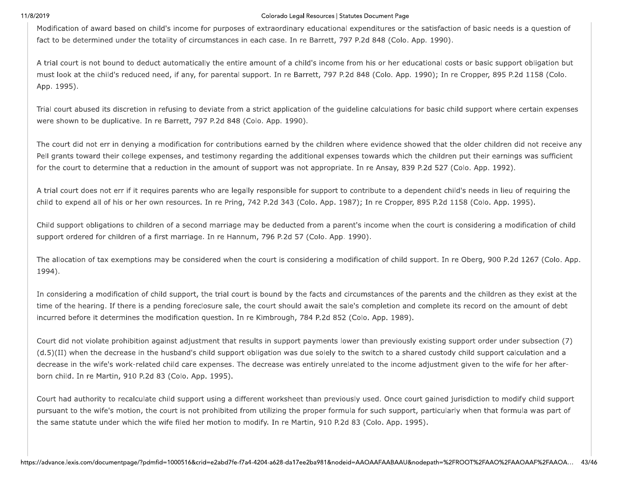### Colorado Legal Resources | Statutes Document Page

Modification of award based on child's income for purposes of extraordinary educational expenditures or the satisfaction of basic needs is a question of fact to be determined under the totality of circumstances in each case. In re Barrett, 797 P.2d 848 (Colo. App. 1990).

A trial court is not bound to deduct automatically the entire amount of a child's income from his or her educational costs or basic support obligation but must look at the child's reduced need, if any, for parental support. In re Barrett, 797 P.2d 848 (Colo. App. 1990); In re Cropper, 895 P.2d 1158 (Colo. App. 1995).

Trial court abused its discretion in refusing to deviate from a strict application of the guideline calculations for basic child support where certain expenses were shown to be duplicative. In re Barrett, 797 P.2d 848 (Colo. App. 1990).

The court did not err in denying a modification for contributions earned by the children where evidence showed that the older children did not receive any Pell grants toward their college expenses, and testimony regarding the additional expenses towards which the children put their earnings was sufficient for the court to determine that a reduction in the amount of support was not appropriate. In re Ansay, 839 P.2d 527 (Colo. App. 1992).

A trial court does not err if it requires parents who are legally responsible for support to contribute to a dependent child's needs in lieu of requiring the child to expend all of his or her own resources. In re Pring, 742 P.2d 343 (Colo. App. 1987); In re Cropper, 895 P.2d 1158 (Colo. App. 1995).

Child support obligations to children of a second marriage may be deducted from a parent's income when the court is considering a modification of child support ordered for children of a first marriage. In re Hannum, 796 P.2d 57 (Colo. App. 1990).

The allocation of tax exemptions may be considered when the court is considering a modification of child support. In re Oberg, 900 P.2d 1267 (Colo. App. 1994).

In considering a modification of child support, the trial court is bound by the facts and circumstances of the parents and the children as they exist at the time of the hearing. If there is a pending foreclosure sale, the court should await the sale's completion and complete its record on the amount of debt incurred before it determines the modification question. In re Kimbrough, 784 P.2d 852 (Colo. App. 1989).

Court did not violate prohibition against adjustment that results in support payments lower than previously existing support order under subsection (7) (d.5)(II) when the decrease in the husband's child support obligation was due solely to the switch to a shared custody child support calculation and a decrease in the wife's work-related child care expenses. The decrease was entirely unrelated to the income adjustment given to the wife for her afterborn child. In re Martin, 910 P.2d 83 (Colo. App. 1995).

Court had authority to recalculate child support using a different worksheet than previously used. Once court gained jurisdiction to modify child support pursuant to the wife's motion, the court is not prohibited from utilizing the proper formula for such support, particularly when that formula was part of the same statute under which the wife filed her motion to modify. In re Martin, 910 P.2d 83 (Colo. App. 1995).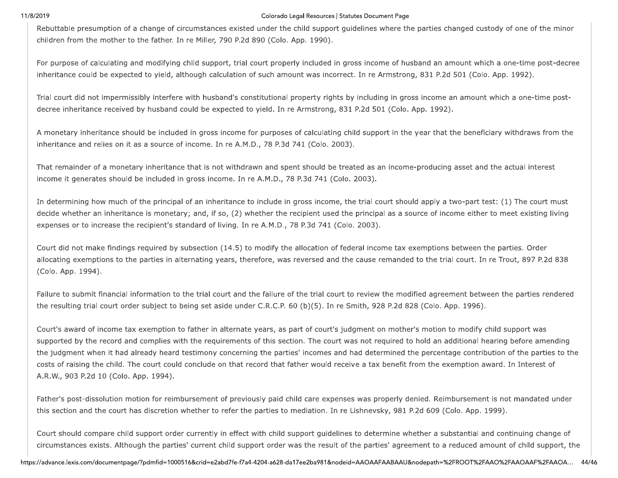### Colorado Legal Resources | Statutes Document Page

Rebuttable presumption of a change of circumstances existed under the child support guidelines where the parties changed custody of one of the minor children from the mother to the father. In re Miller, 790 P.2d 890 (Colo. App. 1990).

For purpose of calculating and modifying child support, trial court properly included in gross income of husband an amount which a one-time post-decree inheritance could be expected to yield, although calculation of such amount was incorrect. In re Armstrong, 831 P.2d 501 (Colo. App. 1992).

Trial court did not impermissibly interfere with husband's constitutional property rights by including in gross income an amount which a one-time postdecree inheritance received by husband could be expected to yield. In re Armstrong, 831 P.2d 501 (Colo. App. 1992).

A monetary inheritance should be included in gross income for purposes of calculating child support in the year that the beneficiary withdraws from the inheritance and relies on it as a source of income. In re A.M.D., 78 P.3d 741 (Colo. 2003).

That remainder of a monetary inheritance that is not withdrawn and spent should be treated as an income-producing asset and the actual interest income it generates should be included in gross income. In re A.M.D., 78 P.3d 741 (Colo. 2003).

In determining how much of the principal of an inheritance to include in gross income, the trial court should apply a two-part test: (1) The court must decide whether an inheritance is monetary; and, if so, (2) whether the recipient used the principal as a source of income either to meet existing living expenses or to increase the recipient's standard of living. In re A.M.D., 78 P.3d 741 (Colo. 2003).

Court did not make findings required by subsection (14.5) to modify the allocation of federal income tax exemptions between the parties. Order allocating exemptions to the parties in alternating years, therefore, was reversed and the cause remanded to the trial court. In re Trout, 897 P.2d 838 (Colo. App. 1994).

Failure to submit financial information to the trial court and the failure of the trial court to review the modified agreement between the parties rendered the resulting trial court order subject to being set aside under C.R.C.P. 60 (b)(5). In re Smith, 928 P.2d 828 (Colo. App. 1996).

Court's award of income tax exemption to father in alternate years, as part of court's judgment on mother's motion to modify child support was supported by the record and complies with the requirements of this section. The court was not required to hold an additional hearing before amending the judgment when it had already heard testimony concerning the parties' incomes and had determined the percentage contribution of the parties to the costs of raising the child. The court could conclude on that record that father would receive a tax benefit from the exemption award. In Interest of A.R.W., 903 P.2d 10 (Colo. App. 1994).

Father's post-dissolution motion for reimbursement of previously paid child care expenses was properly denied. Reimbursement is not mandated under this section and the court has discretion whether to refer the parties to mediation. In re Lishnevsky, 981 P.2d 609 (Colo. App. 1999).

Court should compare child support order currently in effect with child support guidelines to determine whether a substantial and continuing change of circumstances exists. Although the parties' current child support order was the result of the parties' agreement to a reduced amount of child support, the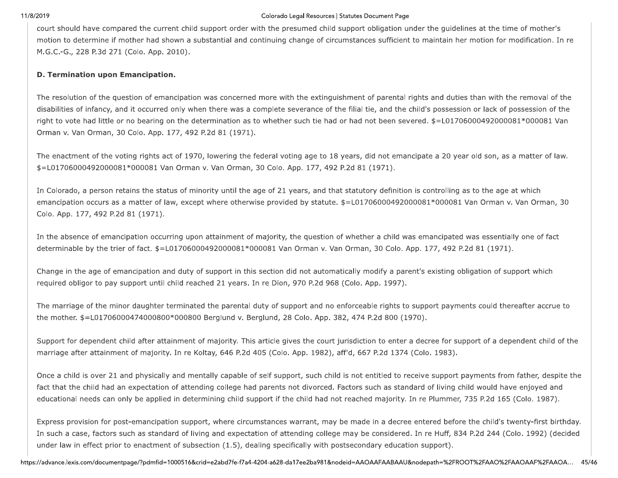11/8/2019<br>
court should hamed<br>
motion to deter<br>
M.G.C.-G., 228<br>
D. Termination Colorado Legal Resources |<br>
court should have compared the current child support order with the presumed child<br>
motion to determine if mother had shown a substantial and continuing change of circu<br>
M.G.C.-G., 228 P.3d 271 Colorado Legal Resources | Statutes<br>
ort order with the presumed child suppor<br>
ntial and continuing change of circumstar<br>
intial and continuing change of circumstar Colorado Legal Resources | Statutes Document Page<br>| er with the presumed child support obligation<br>| nd continuing change of circumstances sufficien<br>| Legal Resources | Statutes Document Page<br>resumed child support obligation under the guide<br>change of circumstances sufficient to maintain he<br> Statutes Document Page<br>support obligation under the guidelin<br>umstances sufficient to maintain her<br>

The set of the carriers to a print of a subset of collection, we entitled must be a control only to guide the set of the set of the set of the set of the set of the set of the set of the set of the set of the set of the s

Express provision f<br>In such a case, fact<br>under law in effect<br>https://advance.lexis.com/doc Express provision for<br>In such a case, factor:<br>under law in effect pri<br>https://advance.lexis.com/docum Express provision for post-emancipation su<br>In such a case, factors such as standard of<br>under law in effect prior to enactment of su<br>https://advance.lexis.com/documentpage/?pdmfid=100051 provision for post-emancipation support, where circumstance<br>a case, factors such as standard of living and expectation of<br>w in effect prior to enactment of subsection (1.5), dealing sp<br>exis.com/documentpage/?pdmfid=1000516 bation support, where circumstances warrandard of living and expectation of attendirent of subsection (1.5), dealing specificall<br>id=1000516&crid=e2abd7fe-f7a4-4204-a628-da17ee. upport, where circumstances warrant, ma<br>f living and expectation of attending colle<br>ubsection (1.5), dealing specifically with<br>16&crid=e2abd7fe-f7a4-4204-a628-da17ee2ba981& where circumstances warrant, may b<br>and expectation of attending college<br>ion (1.5), dealing specifically with pos<br>e2abd7fe-f7a4-4204-a628-da17ee2ba981&nod nere circumstances warrant, may be<br>d expectation of attending college ma<br>(1.5), dealing specifically with postse<br>bd7fe-f7a4-4204-a628-da17ee2ba981&nodeid e circumstances warrant, may be made in<br>expectation of attending college may be c<br>.5), dealing specifically with postsecondal<br>The-17a4-4204-a628-da17ee2ba981&nodeid=AAOA - .<br>mstances warrant, may be made in :<br>tion of attending college may be cor<br>aling specifically with postsecondary<br>4204-a628-da17ee2ba981&nodeid=AAOAAF, stances warrant, may be made in a decree entered before the chi<br>
on of attending college may be considered. In re Huff, 834 P.2d 24<br>
ing specifically with postsecondary education support).<br>
04-a628-da17ee2ba981&nodeid=AAOA in a decree entered before the child's twenty-first birthday.<br>
considered. In re Huff, 834 P.2d 244 (Colo. 1992) (decided<br>
ary education support).<br>
AAFAABAAU&nodepath=%2FROOT%2FAAO%2FAAOAAF%2FAAOA... 45/46